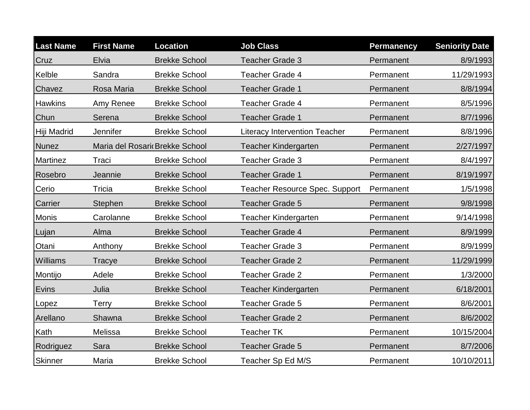| <b>Last Name</b> | <b>First Name</b> | <b>Location</b>                | <b>Job Class</b>                      | <b>Permanency</b> | <b>Seniority Date</b> |
|------------------|-------------------|--------------------------------|---------------------------------------|-------------------|-----------------------|
| Cruz             | Elvia             | <b>Brekke School</b>           | Teacher Grade 3                       | Permanent         | 8/9/1993              |
| Kelble           | Sandra            | <b>Brekke School</b>           | <b>Teacher Grade 4</b>                | Permanent         | 11/29/1993            |
| Chavez           | Rosa Maria        | <b>Brekke School</b>           | <b>Teacher Grade 1</b>                | Permanent         | 8/8/1994              |
| <b>Hawkins</b>   | Amy Renee         | <b>Brekke School</b>           | <b>Teacher Grade 4</b>                | Permanent         | 8/5/1996              |
| Chun             | Serena            | <b>Brekke School</b>           | <b>Teacher Grade 1</b>                | Permanent         | 8/7/1996              |
| Hiji Madrid      | Jennifer          | <b>Brekke School</b>           | <b>Literacy Intervention Teacher</b>  | Permanent         | 8/8/1996              |
| <b>Nunez</b>     |                   | Maria del Rosari Brekke School | <b>Teacher Kindergarten</b>           | Permanent         | 2/27/1997             |
| <b>Martinez</b>  | Traci             | <b>Brekke School</b>           | <b>Teacher Grade 3</b>                | Permanent         | 8/4/1997              |
| Rosebro          | Jeannie           | <b>Brekke School</b>           | <b>Teacher Grade 1</b>                | Permanent         | 8/19/1997             |
| Cerio            | Tricia            | <b>Brekke School</b>           | <b>Teacher Resource Spec. Support</b> | Permanent         | 1/5/1998              |
| Carrier          | Stephen           | <b>Brekke School</b>           | <b>Teacher Grade 5</b>                | Permanent         | 9/8/1998              |
| <b>Monis</b>     | Carolanne         | <b>Brekke School</b>           | <b>Teacher Kindergarten</b>           | Permanent         | 9/14/1998             |
| Lujan            | Alma              | <b>Brekke School</b>           | Teacher Grade 4                       | Permanent         | 8/9/1999              |
| Otani            | Anthony           | <b>Brekke School</b>           | <b>Teacher Grade 3</b>                | Permanent         | 8/9/1999              |
| Williams         | Tracye            | <b>Brekke School</b>           | <b>Teacher Grade 2</b>                | Permanent         | 11/29/1999            |
| Montijo          | Adele             | <b>Brekke School</b>           | <b>Teacher Grade 2</b>                | Permanent         | 1/3/2000              |
| Evins            | Julia             | <b>Brekke School</b>           | Teacher Kindergarten                  | Permanent         | 6/18/2001             |
| Lopez            | <b>Terry</b>      | <b>Brekke School</b>           | <b>Teacher Grade 5</b>                | Permanent         | 8/6/2001              |
| Arellano         | Shawna            | <b>Brekke School</b>           | <b>Teacher Grade 2</b>                | Permanent         | 8/6/2002              |
| Kath             | Melissa           | <b>Brekke School</b>           | <b>Teacher TK</b>                     | Permanent         | 10/15/2004            |
| Rodriguez        | Sara              | <b>Brekke School</b>           | Teacher Grade 5                       | Permanent         | 8/7/2006              |
| <b>Skinner</b>   | Maria             | <b>Brekke School</b>           | Teacher Sp Ed M/S                     | Permanent         | 10/10/2011            |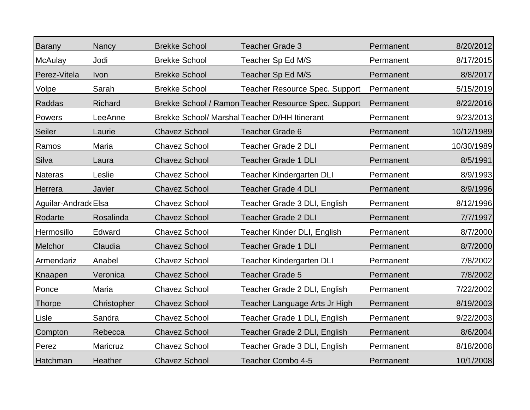| <b>Barany</b>        | Nancy       | <b>Brekke School</b> | <b>Teacher Grade 3</b>                               | Permanent | 8/20/2012  |
|----------------------|-------------|----------------------|------------------------------------------------------|-----------|------------|
| <b>McAulay</b>       | Jodi        | <b>Brekke School</b> | Teacher Sp Ed M/S                                    | Permanent | 8/17/2015  |
| Perez-Vitela         | Ivon        | <b>Brekke School</b> | Teacher Sp Ed M/S                                    | Permanent | 8/8/2017   |
| Volpe                | Sarah       | <b>Brekke School</b> | <b>Teacher Resource Spec. Support</b>                | Permanent | 5/15/2019  |
| Raddas               | Richard     |                      | Brekke School / Ramon Teacher Resource Spec. Support | Permanent | 8/22/2016  |
| Powers               | LeeAnne     |                      | Brekke School/ Marshal Teacher D/HH Itinerant        | Permanent | 9/23/2013  |
| Seiler               | Laurie      | <b>Chavez School</b> | <b>Teacher Grade 6</b>                               | Permanent | 10/12/1989 |
| Ramos                | Maria       | <b>Chavez School</b> | <b>Teacher Grade 2 DLI</b>                           | Permanent | 10/30/1989 |
| Silva                | Laura       | <b>Chavez School</b> | <b>Teacher Grade 1 DLI</b>                           | Permanent | 8/5/1991   |
| Nateras              | Leslie      | <b>Chavez School</b> | <b>Teacher Kindergarten DLI</b>                      | Permanent | 8/9/1993   |
| Herrera              | Javier      | <b>Chavez School</b> | <b>Teacher Grade 4 DLI</b>                           | Permanent | 8/9/1996   |
| Aguilar-Andrade Elsa |             | <b>Chavez School</b> | Teacher Grade 3 DLI, English                         | Permanent | 8/12/1996  |
| Rodarte              | Rosalinda   | <b>Chavez School</b> | <b>Teacher Grade 2 DLI</b>                           | Permanent | 7/7/1997   |
| Hermosillo           | Edward      | <b>Chavez School</b> | Teacher Kinder DLI, English                          | Permanent | 8/7/2000   |
| Melchor              | Claudia     | <b>Chavez School</b> | <b>Teacher Grade 1 DLI</b>                           | Permanent | 8/7/2000   |
| Armendariz           | Anabel      | <b>Chavez School</b> | <b>Teacher Kindergarten DLI</b>                      | Permanent | 7/8/2002   |
| Knaapen              | Veronica    | <b>Chavez School</b> | <b>Teacher Grade 5</b>                               | Permanent | 7/8/2002   |
| Ponce                | Maria       | <b>Chavez School</b> | Teacher Grade 2 DLI, English                         | Permanent | 7/22/2002  |
| <b>Thorpe</b>        | Christopher | <b>Chavez School</b> | Teacher Language Arts Jr High                        | Permanent | 8/19/2003  |
| Lisle                | Sandra      | <b>Chavez School</b> | Teacher Grade 1 DLI, English                         | Permanent | 9/22/2003  |
| Compton              | Rebecca     | <b>Chavez School</b> | Teacher Grade 2 DLI, English                         | Permanent | 8/6/2004   |
| Perez                | Maricruz    | <b>Chavez School</b> | Teacher Grade 3 DLI, English                         | Permanent | 8/18/2008  |
| Hatchman             | Heather     | <b>Chavez School</b> | <b>Teacher Combo 4-5</b>                             | Permanent | 10/1/2008  |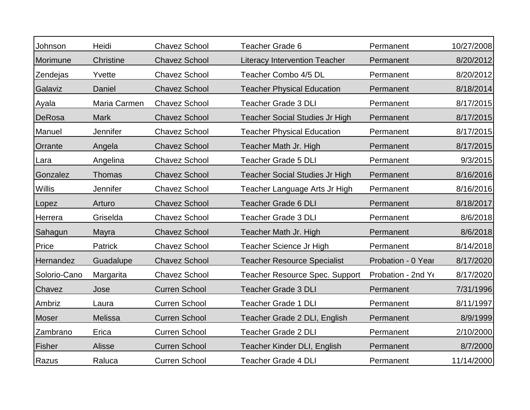| Johnson      | Heidi        | <b>Chavez School</b> | Teacher Grade 6                       | Permanent          | 10/27/2008 |
|--------------|--------------|----------------------|---------------------------------------|--------------------|------------|
| Morimune     | Christine    | <b>Chavez School</b> | <b>Literacy Intervention Teacher</b>  | Permanent          | 8/20/2012  |
| Zendejas     | Yvette       | <b>Chavez School</b> | Teacher Combo 4/5 DL                  | Permanent          | 8/20/2012  |
| Galaviz      | Daniel       | <b>Chavez School</b> | <b>Teacher Physical Education</b>     | Permanent          | 8/18/2014  |
| Ayala        | Maria Carmen | <b>Chavez School</b> | <b>Teacher Grade 3 DLI</b>            | Permanent          | 8/17/2015  |
| DeRosa       | <b>Mark</b>  | <b>Chavez School</b> | <b>Teacher Social Studies Jr High</b> | Permanent          | 8/17/2015  |
| Manuel       | Jennifer     | <b>Chavez School</b> | <b>Teacher Physical Education</b>     | Permanent          | 8/17/2015  |
| Orrante      | Angela       | <b>Chavez School</b> | Teacher Math Jr. High                 | Permanent          | 8/17/2015  |
| Lara         | Angelina     | <b>Chavez School</b> | <b>Teacher Grade 5 DLI</b>            | Permanent          | 9/3/2015   |
| Gonzalez     | Thomas       | <b>Chavez School</b> | <b>Teacher Social Studies Jr High</b> | Permanent          | 8/16/2016  |
| Willis       | Jennifer     | <b>Chavez School</b> | Teacher Language Arts Jr High         | Permanent          | 8/16/2016  |
| Lopez        | Arturo       | <b>Chavez School</b> | <b>Teacher Grade 6 DLI</b>            | Permanent          | 8/18/2017  |
| Herrera      | Griselda     | <b>Chavez School</b> | <b>Teacher Grade 3 DLI</b>            | Permanent          | 8/6/2018   |
| Sahagun      | Mayra        | <b>Chavez School</b> | Teacher Math Jr. High                 | Permanent          | 8/6/2018   |
| Price        | Patrick      | <b>Chavez School</b> | Teacher Science Jr High               | Permanent          | 8/14/2018  |
| Hernandez    | Guadalupe    | <b>Chavez School</b> | <b>Teacher Resource Specialist</b>    | Probation - 0 Year | 8/17/2020  |
| Solorio-Cano | Margarita    | <b>Chavez School</b> | <b>Teacher Resource Spec. Support</b> | Probation - 2nd Ye | 8/17/2020  |
| Chavez       | Jose         | <b>Curren School</b> | <b>Teacher Grade 3 DLI</b>            | Permanent          | 7/31/1996  |
| Ambriz       | Laura        | <b>Curren School</b> | <b>Teacher Grade 1 DLI</b>            | Permanent          | 8/11/1997  |
| <b>Moser</b> | Melissa      | <b>Curren School</b> | Teacher Grade 2 DLI, English          | Permanent          | 8/9/1999   |
| Zambrano     | Erica        | <b>Curren School</b> | <b>Teacher Grade 2 DLI</b>            | Permanent          | 2/10/2000  |
| Fisher       | Alisse       | <b>Curren School</b> | Teacher Kinder DLI, English           | Permanent          | 8/7/2000   |
| Razus        | Raluca       | <b>Curren School</b> | <b>Teacher Grade 4 DLI</b>            | Permanent          | 11/14/2000 |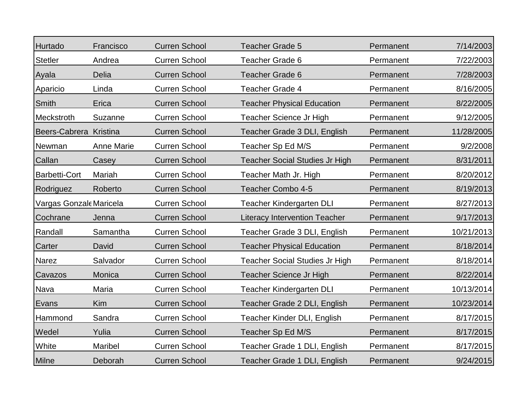| Hurtado                 | Francisco         | <b>Curren School</b> | <b>Teacher Grade 5</b>                | Permanent | 7/14/2003  |
|-------------------------|-------------------|----------------------|---------------------------------------|-----------|------------|
| <b>Stetler</b>          | Andrea            | <b>Curren School</b> | <b>Teacher Grade 6</b>                | Permanent | 7/22/2003  |
| Ayala                   | <b>Delia</b>      | <b>Curren School</b> | Teacher Grade 6                       | Permanent | 7/28/2003  |
| Aparicio                | Linda             | <b>Curren School</b> | <b>Teacher Grade 4</b>                | Permanent | 8/16/2005  |
| <b>Smith</b>            | Erica             | <b>Curren School</b> | <b>Teacher Physical Education</b>     | Permanent | 8/22/2005  |
| Meckstroth              | Suzanne           | <b>Curren School</b> | Teacher Science Jr High               | Permanent | 9/12/2005  |
| Beers-Cabrera Kristina  |                   | <b>Curren School</b> | Teacher Grade 3 DLI, English          | Permanent | 11/28/2005 |
| Newman                  | <b>Anne Marie</b> | <b>Curren School</b> | Teacher Sp Ed M/S                     | Permanent | 9/2/2008   |
| Callan                  | Casey             | <b>Curren School</b> | <b>Teacher Social Studies Jr High</b> | Permanent | 8/31/2011  |
| <b>Barbetti-Cort</b>    | Mariah            | <b>Curren School</b> | Teacher Math Jr. High                 | Permanent | 8/20/2012  |
| Rodriguez               | Roberto           | <b>Curren School</b> | <b>Teacher Combo 4-5</b>              | Permanent | 8/19/2013  |
| Vargas Gonzale Maricela |                   | <b>Curren School</b> | <b>Teacher Kindergarten DLI</b>       | Permanent | 8/27/2013  |
| Cochrane                | Jenna             | <b>Curren School</b> | <b>Literacy Intervention Teacher</b>  | Permanent | 9/17/2013  |
| Randall                 | Samantha          | <b>Curren School</b> | Teacher Grade 3 DLI, English          | Permanent | 10/21/2013 |
| Carter                  | David             | <b>Curren School</b> | <b>Teacher Physical Education</b>     | Permanent | 8/18/2014  |
| Narez                   | Salvador          | <b>Curren School</b> | <b>Teacher Social Studies Jr High</b> | Permanent | 8/18/2014  |
| Cavazos                 | Monica            | <b>Curren School</b> | Teacher Science Jr High               | Permanent | 8/22/2014  |
| Nava                    | Maria             | <b>Curren School</b> | <b>Teacher Kindergarten DLI</b>       | Permanent | 10/13/2014 |
| Evans                   | Kim               | <b>Curren School</b> | Teacher Grade 2 DLI, English          | Permanent | 10/23/2014 |
| Hammond                 | Sandra            | <b>Curren School</b> | Teacher Kinder DLI, English           | Permanent | 8/17/2015  |
| Wedel                   | Yulia             | <b>Curren School</b> | Teacher Sp Ed M/S                     | Permanent | 8/17/2015  |
| White                   | Maribel           | <b>Curren School</b> | Teacher Grade 1 DLI, English          | Permanent | 8/17/2015  |
| <b>Milne</b>            | Deborah           | <b>Curren School</b> | Teacher Grade 1 DLI, English          | Permanent | 9/24/2015  |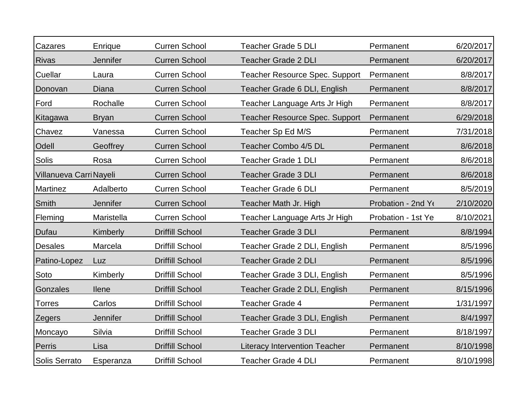| Cazares                 | Enrique         | <b>Curren School</b>   | <b>Teacher Grade 5 DLI</b>            | Permanent          | 6/20/2017 |
|-------------------------|-----------------|------------------------|---------------------------------------|--------------------|-----------|
| <b>Rivas</b>            | Jennifer        | <b>Curren School</b>   | <b>Teacher Grade 2 DLI</b>            | Permanent          | 6/20/2017 |
| Cuellar                 | Laura           | <b>Curren School</b>   | <b>Teacher Resource Spec. Support</b> | Permanent          | 8/8/2017  |
| Donovan                 | Diana           | <b>Curren School</b>   | Teacher Grade 6 DLI, English          | Permanent          | 8/8/2017  |
| Ford                    | Rochalle        | <b>Curren School</b>   | Teacher Language Arts Jr High         | Permanent          | 8/8/2017  |
| Kitagawa                | <b>Bryan</b>    | <b>Curren School</b>   | <b>Teacher Resource Spec. Support</b> | Permanent          | 6/29/2018 |
| Chavez                  | Vanessa         | <b>Curren School</b>   | Teacher Sp Ed M/S                     | Permanent          | 7/31/2018 |
| Odell                   | Geoffrey        | <b>Curren School</b>   | Teacher Combo 4/5 DL                  | Permanent          | 8/6/2018  |
| Solis                   | Rosa            | <b>Curren School</b>   | <b>Teacher Grade 1 DLI</b>            | Permanent          | 8/6/2018  |
| Villanueva Carri Nayeli |                 | <b>Curren School</b>   | <b>Teacher Grade 3 DLI</b>            | Permanent          | 8/6/2018  |
| Martinez                | Adalberto       | <b>Curren School</b>   | <b>Teacher Grade 6 DLI</b>            | Permanent          | 8/5/2019  |
| Smith                   | <b>Jennifer</b> | <b>Curren School</b>   | Teacher Math Jr. High                 | Probation - 2nd Y  | 2/10/2020 |
| Fleming                 | Maristella      | <b>Curren School</b>   | Teacher Language Arts Jr High         | Probation - 1st Ye | 8/10/2021 |
| Dufau                   | Kimberly        | <b>Driffill School</b> | <b>Teacher Grade 3 DLI</b>            | Permanent          | 8/8/1994  |
| <b>Desales</b>          | Marcela         | <b>Driffill School</b> | Teacher Grade 2 DLI, English          | Permanent          | 8/5/1996  |
| Patino-Lopez            | Luz             | <b>Driffill School</b> | <b>Teacher Grade 2 DLI</b>            | Permanent          | 8/5/1996  |
| Soto                    | Kimberly        | <b>Driffill School</b> | Teacher Grade 3 DLI, English          | Permanent          | 8/5/1996  |
| Gonzales                | <b>Ilene</b>    | <b>Driffill School</b> | Teacher Grade 2 DLI, English          | Permanent          | 8/15/1996 |
| <b>Torres</b>           | Carlos          | <b>Driffill School</b> | <b>Teacher Grade 4</b>                | Permanent          | 1/31/1997 |
| Zegers                  | Jennifer        | <b>Driffill School</b> | Teacher Grade 3 DLI, English          | Permanent          | 8/4/1997  |
| Moncayo                 | Silvia          | <b>Driffill School</b> | <b>Teacher Grade 3 DLI</b>            | Permanent          | 8/18/1997 |
| Perris                  | Lisa            | <b>Driffill School</b> | <b>Literacy Intervention Teacher</b>  | Permanent          | 8/10/1998 |
| Solis Serrato           | Esperanza       | <b>Driffill School</b> | <b>Teacher Grade 4 DLI</b>            | Permanent          | 8/10/1998 |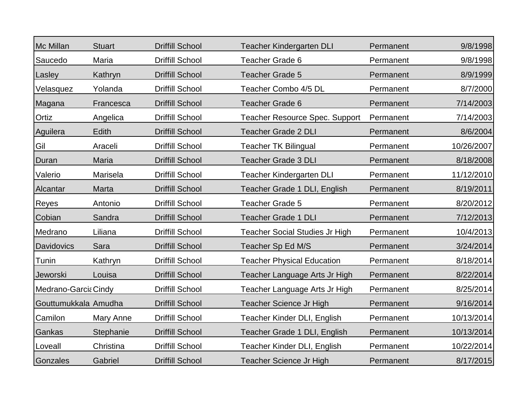| Mc Millan            | <b>Stuart</b> | <b>Driffill School</b> | <b>Teacher Kindergarten DLI</b>       | Permanent | 9/8/1998   |
|----------------------|---------------|------------------------|---------------------------------------|-----------|------------|
| Saucedo              | Maria         | <b>Driffill School</b> | <b>Teacher Grade 6</b>                | Permanent | 9/8/1998   |
| Lasley               | Kathryn       | <b>Driffill School</b> | Teacher Grade 5                       | Permanent | 8/9/1999   |
| Velasquez            | Yolanda       | <b>Driffill School</b> | Teacher Combo 4/5 DL                  | Permanent | 8/7/2000   |
| Magana               | Francesca     | <b>Driffill School</b> | <b>Teacher Grade 6</b>                | Permanent | 7/14/2003  |
| Ortiz                | Angelica      | <b>Driffill School</b> | <b>Teacher Resource Spec. Support</b> | Permanent | 7/14/2003  |
| Aguilera             | Edith         | <b>Driffill School</b> | <b>Teacher Grade 2 DLI</b>            | Permanent | 8/6/2004   |
| Gil                  | Araceli       | <b>Driffill School</b> | <b>Teacher TK Bilingual</b>           | Permanent | 10/26/2007 |
| Duran                | Maria         | <b>Driffill School</b> | <b>Teacher Grade 3 DLI</b>            | Permanent | 8/18/2008  |
| Valerio              | Marisela      | <b>Driffill School</b> | <b>Teacher Kindergarten DLI</b>       | Permanent | 11/12/2010 |
| Alcantar             | Marta         | <b>Driffill School</b> | Teacher Grade 1 DLI, English          | Permanent | 8/19/2011  |
| Reyes                | Antonio       | <b>Driffill School</b> | <b>Teacher Grade 5</b>                | Permanent | 8/20/2012  |
| Cobian               | Sandra        | <b>Driffill School</b> | <b>Teacher Grade 1 DLI</b>            | Permanent | 7/12/2013  |
| Medrano              | Liliana       | <b>Driffill School</b> | <b>Teacher Social Studies Jr High</b> | Permanent | 10/4/2013  |
| <b>Davidovics</b>    | Sara          | <b>Driffill School</b> | Teacher Sp Ed M/S                     | Permanent | 3/24/2014  |
| Tunin                | Kathryn       | <b>Driffill School</b> | <b>Teacher Physical Education</b>     | Permanent | 8/18/2014  |
| Jeworski             | Louisa        | <b>Driffill School</b> | Teacher Language Arts Jr High         | Permanent | 8/22/2014  |
| Medrano-Garcia Cindy |               | <b>Driffill School</b> | Teacher Language Arts Jr High         | Permanent | 8/25/2014  |
| Gouttumukkala Amudha |               | <b>Driffill School</b> | Teacher Science Jr High               | Permanent | 9/16/2014  |
| Camilon              | Mary Anne     | <b>Driffill School</b> | Teacher Kinder DLI, English           | Permanent | 10/13/2014 |
| Gankas               | Stephanie     | <b>Driffill School</b> | Teacher Grade 1 DLI, English          | Permanent | 10/13/2014 |
| Loveall              | Christina     | <b>Driffill School</b> | Teacher Kinder DLI, English           | Permanent | 10/22/2014 |
| Gonzales             | Gabriel       | <b>Driffill School</b> | Teacher Science Jr High               | Permanent | 8/17/2015  |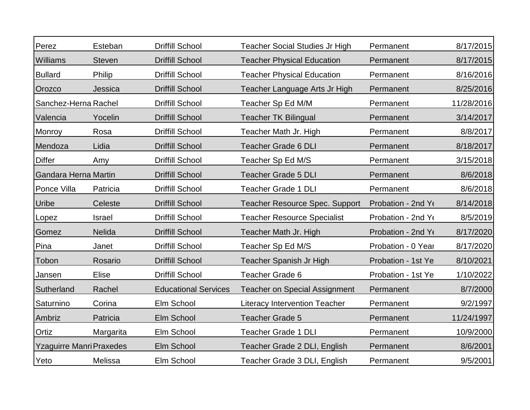| Perez                           | Esteban       | <b>Driffill School</b>      | <b>Teacher Social Studies Jr High</b> | Permanent          | 8/17/2015  |
|---------------------------------|---------------|-----------------------------|---------------------------------------|--------------------|------------|
| Williams                        | <b>Steven</b> | <b>Driffill School</b>      | <b>Teacher Physical Education</b>     | Permanent          | 8/17/2015  |
| <b>Bullard</b>                  | Philip        | <b>Driffill School</b>      | <b>Teacher Physical Education</b>     | Permanent          | 8/16/2016  |
| Orozco                          | Jessica       | <b>Driffill School</b>      | Teacher Language Arts Jr High         | Permanent          | 8/25/2016  |
| Sanchez-Herna Rachel            |               | Driffill School             | Teacher Sp Ed M/M                     | Permanent          | 11/28/2016 |
| Valencia                        | Yocelin       | <b>Driffill School</b>      | <b>Teacher TK Bilingual</b>           | Permanent          | 3/14/2017  |
| Monroy                          | Rosa          | <b>Driffill School</b>      | Teacher Math Jr. High                 | Permanent          | 8/8/2017   |
| Mendoza                         | Lidia         | <b>Driffill School</b>      | <b>Teacher Grade 6 DLI</b>            | Permanent          | 8/18/2017  |
| <b>Differ</b>                   | Amy           | <b>Driffill School</b>      | Teacher Sp Ed M/S                     | Permanent          | 3/15/2018  |
| Gandara Herna Martin            |               | <b>Driffill School</b>      | <b>Teacher Grade 5 DLI</b>            | Permanent          | 8/6/2018   |
| Ponce Villa                     | Patricia      | <b>Driffill School</b>      | <b>Teacher Grade 1 DLI</b>            | Permanent          | 8/6/2018   |
| Uribe                           | Celeste       | <b>Driffill School</b>      | <b>Teacher Resource Spec. Support</b> | Probation - 2nd Ye | 8/14/2018  |
| Lopez                           | <b>Israel</b> | <b>Driffill School</b>      | <b>Teacher Resource Specialist</b>    | Probation - 2nd Yo | 8/5/2019   |
| Gomez                           | <b>Nelida</b> | <b>Driffill School</b>      | Teacher Math Jr. High                 | Probation - 2nd Y  | 8/17/2020  |
| Pina                            | Janet         | <b>Driffill School</b>      | Teacher Sp Ed M/S                     | Probation - 0 Year | 8/17/2020  |
| Tobon                           | Rosario       | <b>Driffill School</b>      | Teacher Spanish Jr High               | Probation - 1st Ye | 8/10/2021  |
| Jansen                          | Elise         | <b>Driffill School</b>      | <b>Teacher Grade 6</b>                | Probation - 1st Ye | 1/10/2022  |
| Sutherland                      | Rachel        | <b>Educational Services</b> | <b>Teacher on Special Assignment</b>  | Permanent          | 8/7/2000   |
| Saturnino                       | Corina        | Elm School                  | <b>Literacy Intervention Teacher</b>  | Permanent          | 9/2/1997   |
| Ambriz                          | Patricia      | Elm School                  | <b>Teacher Grade 5</b>                | Permanent          | 11/24/1997 |
| Ortiz                           | Margarita     | Elm School                  | <b>Teacher Grade 1 DLI</b>            | Permanent          | 10/9/2000  |
| <b>Yzaguirre Manri Praxedes</b> |               | Elm School                  | Teacher Grade 2 DLI, English          | Permanent          | 8/6/2001   |
| Yeto                            | Melissa       | Elm School                  | Teacher Grade 3 DLI, English          | Permanent          | 9/5/2001   |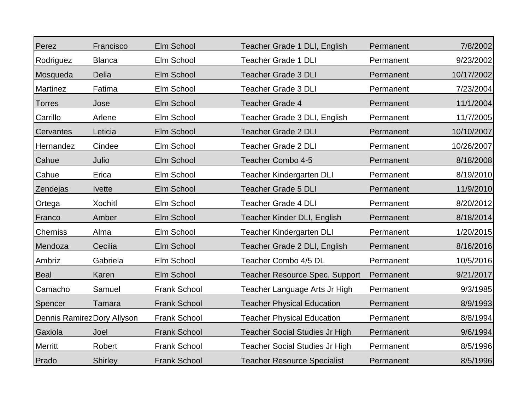| Perez           | Francisco                   | Elm School          | Teacher Grade 1 DLI, English          | Permanent | 7/8/2002   |
|-----------------|-----------------------------|---------------------|---------------------------------------|-----------|------------|
| Rodriguez       | <b>Blanca</b>               | Elm School          | <b>Teacher Grade 1 DLI</b>            | Permanent | 9/23/2002  |
| Mosqueda        | Delia                       | Elm School          | <b>Teacher Grade 3 DLI</b>            | Permanent | 10/17/2002 |
| Martinez        | Fatima                      | Elm School          | <b>Teacher Grade 3 DLI</b>            | Permanent | 7/23/2004  |
| <b>Torres</b>   | Jose                        | Elm School          | Teacher Grade 4                       | Permanent | 11/1/2004  |
| Carrillo        | Arlene                      | Elm School          | Teacher Grade 3 DLI, English          | Permanent | 11/7/2005  |
| Cervantes       | Leticia                     | Elm School          | <b>Teacher Grade 2 DLI</b>            | Permanent | 10/10/2007 |
| Hernandez       | Cindee                      | Elm School          | <b>Teacher Grade 2 DLI</b>            | Permanent | 10/26/2007 |
| Cahue           | Julio                       | Elm School          | Teacher Combo 4-5                     | Permanent | 8/18/2008  |
| Cahue           | Erica                       | Elm School          | <b>Teacher Kindergarten DLI</b>       | Permanent | 8/19/2010  |
| Zendejas        | <b>Ivette</b>               | Elm School          | <b>Teacher Grade 5 DLI</b>            | Permanent | 11/9/2010  |
| Ortega          | <b>Xochitl</b>              | Elm School          | <b>Teacher Grade 4 DLI</b>            | Permanent | 8/20/2012  |
| Franco          | Amber                       | Elm School          | Teacher Kinder DLI, English           | Permanent | 8/18/2014  |
| <b>Cherniss</b> | Alma                        | Elm School          | Teacher Kindergarten DLI              | Permanent | 1/20/2015  |
| Mendoza         | Cecilia                     | Elm School          | Teacher Grade 2 DLI, English          | Permanent | 8/16/2016  |
| Ambriz          | Gabriela                    | Elm School          | Teacher Combo 4/5 DL                  | Permanent | 10/5/2016  |
| <b>Beal</b>     | Karen                       | Elm School          | <b>Teacher Resource Spec. Support</b> | Permanent | 9/21/2017  |
| Camacho         | Samuel                      | <b>Frank School</b> | Teacher Language Arts Jr High         | Permanent | 9/3/1985   |
| Spencer         | Tamara                      | <b>Frank School</b> | <b>Teacher Physical Education</b>     | Permanent | 8/9/1993   |
|                 | Dennis Ramirez Dory Allyson | <b>Frank School</b> | <b>Teacher Physical Education</b>     | Permanent | 8/8/1994   |
| Gaxiola         | Joel                        | <b>Frank School</b> | <b>Teacher Social Studies Jr High</b> | Permanent | 9/6/1994   |
| Merritt         | Robert                      | <b>Frank School</b> | Teacher Social Studies Jr High        | Permanent | 8/5/1996   |
| Prado           | <b>Shirley</b>              | <b>Frank School</b> | <b>Teacher Resource Specialist</b>    | Permanent | 8/5/1996   |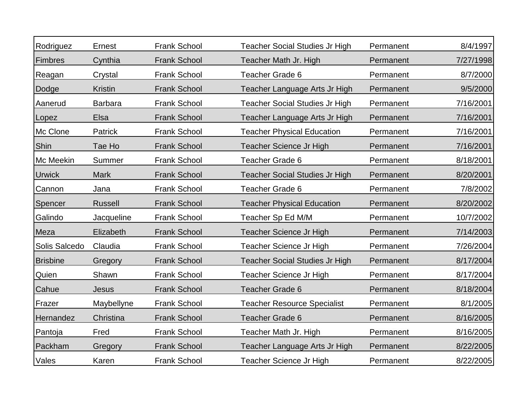| Rodriguez       | Ernest         | <b>Frank School</b> | Teacher Social Studies Jr High        | Permanent | 8/4/1997  |
|-----------------|----------------|---------------------|---------------------------------------|-----------|-----------|
| Fimbres         | Cynthia        | <b>Frank School</b> | Teacher Math Jr. High                 | Permanent | 7/27/1998 |
| Reagan          | Crystal        | <b>Frank School</b> | <b>Teacher Grade 6</b>                | Permanent | 8/7/2000  |
| Dodge           | <b>Kristin</b> | <b>Frank School</b> | Teacher Language Arts Jr High         | Permanent | 9/5/2000  |
| Aanerud         | <b>Barbara</b> | <b>Frank School</b> | <b>Teacher Social Studies Jr High</b> | Permanent | 7/16/2001 |
| Lopez           | Elsa           | <b>Frank School</b> | Teacher Language Arts Jr High         | Permanent | 7/16/2001 |
| Mc Clone        | Patrick        | <b>Frank School</b> | <b>Teacher Physical Education</b>     | Permanent | 7/16/2001 |
| Shin            | Tae Ho         | <b>Frank School</b> | Teacher Science Jr High               | Permanent | 7/16/2001 |
| Mc Meekin       | Summer         | <b>Frank School</b> | <b>Teacher Grade 6</b>                | Permanent | 8/18/2001 |
| <b>Urwick</b>   | <b>Mark</b>    | <b>Frank School</b> | <b>Teacher Social Studies Jr High</b> | Permanent | 8/20/2001 |
| Cannon          | Jana           | <b>Frank School</b> | Teacher Grade 6                       | Permanent | 7/8/2002  |
| Spencer         | <b>Russell</b> | <b>Frank School</b> | <b>Teacher Physical Education</b>     | Permanent | 8/20/2002 |
| Galindo         | Jacqueline     | <b>Frank School</b> | Teacher Sp Ed M/M                     | Permanent | 10/7/2002 |
| Meza            | Elizabeth      | <b>Frank School</b> | Teacher Science Jr High               | Permanent | 7/14/2003 |
| Solis Salcedo   | Claudia        | <b>Frank School</b> | Teacher Science Jr High               | Permanent | 7/26/2004 |
| <b>Brisbine</b> | Gregory        | <b>Frank School</b> | <b>Teacher Social Studies Jr High</b> | Permanent | 8/17/2004 |
| Quien           | Shawn          | Frank School        | Teacher Science Jr High               | Permanent | 8/17/2004 |
| Cahue           | Jesus          | <b>Frank School</b> | Teacher Grade 6                       | Permanent | 8/18/2004 |
| Frazer          | Maybellyne     | <b>Frank School</b> | <b>Teacher Resource Specialist</b>    | Permanent | 8/1/2005  |
| Hernandez       | Christina      | <b>Frank School</b> | <b>Teacher Grade 6</b>                | Permanent | 8/16/2005 |
| Pantoja         | Fred           | <b>Frank School</b> | Teacher Math Jr. High                 | Permanent | 8/16/2005 |
| Packham         | Gregory        | <b>Frank School</b> | Teacher Language Arts Jr High         | Permanent | 8/22/2005 |
| Vales           | Karen          | <b>Frank School</b> | Teacher Science Jr High               | Permanent | 8/22/2005 |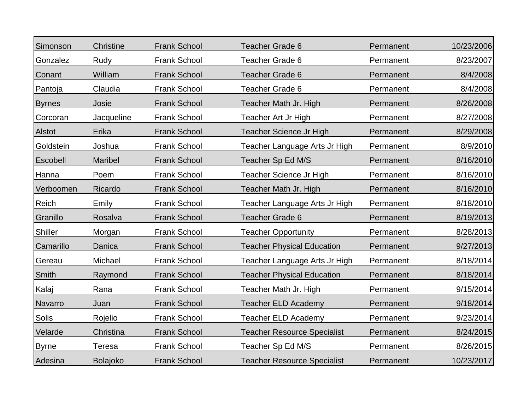| Simonson       | Christine       | <b>Frank School</b> | Teacher Grade 6                    | Permanent | 10/23/2006 |
|----------------|-----------------|---------------------|------------------------------------|-----------|------------|
| Gonzalez       | Rudy            | <b>Frank School</b> | <b>Teacher Grade 6</b>             | Permanent | 8/23/2007  |
| Conant         | William         | <b>Frank School</b> | <b>Teacher Grade 6</b>             | Permanent | 8/4/2008   |
| Pantoja        | Claudia         | <b>Frank School</b> | <b>Teacher Grade 6</b>             | Permanent | 8/4/2008   |
| <b>Byrnes</b>  | Josie           | <b>Frank School</b> | Teacher Math Jr. High              | Permanent | 8/26/2008  |
| Corcoran       | Jacqueline      | <b>Frank School</b> | Teacher Art Jr High                | Permanent | 8/27/2008  |
| <b>Alstot</b>  | Erika           | <b>Frank School</b> | Teacher Science Jr High            | Permanent | 8/29/2008  |
| Goldstein      | Joshua          | <b>Frank School</b> | Teacher Language Arts Jr High      | Permanent | 8/9/2010   |
| Escobell       | Maribel         | <b>Frank School</b> | Teacher Sp Ed M/S                  | Permanent | 8/16/2010  |
| Hanna          | Poem            | <b>Frank School</b> | Teacher Science Jr High            | Permanent | 8/16/2010  |
| Verboomen      | Ricardo         | <b>Frank School</b> | Teacher Math Jr. High              | Permanent | 8/16/2010  |
| <b>Reich</b>   | Emily           | <b>Frank School</b> | Teacher Language Arts Jr High      | Permanent | 8/18/2010  |
| Granillo       | Rosalva         | <b>Frank School</b> | <b>Teacher Grade 6</b>             | Permanent | 8/19/2013  |
| <b>Shiller</b> | Morgan          | <b>Frank School</b> | <b>Teacher Opportunity</b>         | Permanent | 8/28/2013  |
| Camarillo      | Danica          | <b>Frank School</b> | <b>Teacher Physical Education</b>  | Permanent | 9/27/2013  |
| Gereau         | Michael         | <b>Frank School</b> | Teacher Language Arts Jr High      | Permanent | 8/18/2014  |
| <b>Smith</b>   | Raymond         | <b>Frank School</b> | <b>Teacher Physical Education</b>  | Permanent | 8/18/2014  |
| Kalaj          | Rana            | <b>Frank School</b> | Teacher Math Jr. High              | Permanent | 9/15/2014  |
| Navarro        | Juan            | <b>Frank School</b> | <b>Teacher ELD Academy</b>         | Permanent | 9/18/2014  |
| Solis          | Rojelio         | <b>Frank School</b> | <b>Teacher ELD Academy</b>         | Permanent | 9/23/2014  |
| Velarde        | Christina       | <b>Frank School</b> | <b>Teacher Resource Specialist</b> | Permanent | 8/24/2015  |
| <b>Byrne</b>   | <b>Teresa</b>   | <b>Frank School</b> | Teacher Sp Ed M/S                  | Permanent | 8/26/2015  |
| Adesina        | <b>Bolajoko</b> | <b>Frank School</b> | <b>Teacher Resource Specialist</b> | Permanent | 10/23/2017 |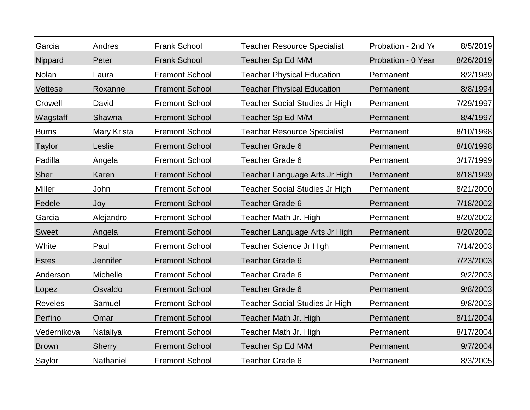| Garcia         | Andres        | <b>Frank School</b>   | <b>Teacher Resource Specialist</b>    | Probation - 2nd Yo | 8/5/2019  |
|----------------|---------------|-----------------------|---------------------------------------|--------------------|-----------|
| Nippard        | Peter         | <b>Frank School</b>   | Teacher Sp Ed M/M                     | Probation - 0 Year | 8/26/2019 |
| Nolan          | Laura         | <b>Fremont School</b> | <b>Teacher Physical Education</b>     | Permanent          | 8/2/1989  |
| Vettese        | Roxanne       | <b>Fremont School</b> | <b>Teacher Physical Education</b>     | Permanent          | 8/8/1994  |
| Crowell        | David         | <b>Fremont School</b> | <b>Teacher Social Studies Jr High</b> | Permanent          | 7/29/1997 |
| Wagstaff       | Shawna        | <b>Fremont School</b> | Teacher Sp Ed M/M                     | Permanent          | 8/4/1997  |
| <b>Burns</b>   | Mary Krista   | <b>Fremont School</b> | <b>Teacher Resource Specialist</b>    | Permanent          | 8/10/1998 |
| <b>Taylor</b>  | Leslie        | <b>Fremont School</b> | <b>Teacher Grade 6</b>                | Permanent          | 8/10/1998 |
| Padilla        | Angela        | <b>Fremont School</b> | <b>Teacher Grade 6</b>                | Permanent          | 3/17/1999 |
| Sher           | Karen         | <b>Fremont School</b> | Teacher Language Arts Jr High         | Permanent          | 8/18/1999 |
| <b>Miller</b>  | John          | <b>Fremont School</b> | <b>Teacher Social Studies Jr High</b> | Permanent          | 8/21/2000 |
| Fedele         | Joy           | <b>Fremont School</b> | <b>Teacher Grade 6</b>                | Permanent          | 7/18/2002 |
| Garcia         | Alejandro     | <b>Fremont School</b> | Teacher Math Jr. High                 | Permanent          | 8/20/2002 |
| <b>Sweet</b>   | Angela        | <b>Fremont School</b> | Teacher Language Arts Jr High         | Permanent          | 8/20/2002 |
| White          | Paul          | <b>Fremont School</b> | Teacher Science Jr High               | Permanent          | 7/14/2003 |
| <b>Estes</b>   | Jennifer      | <b>Fremont School</b> | <b>Teacher Grade 6</b>                | Permanent          | 7/23/2003 |
| Anderson       | Michelle      | <b>Fremont School</b> | <b>Teacher Grade 6</b>                | Permanent          | 9/2/2003  |
| Lopez          | Osvaldo       | <b>Fremont School</b> | <b>Teacher Grade 6</b>                | Permanent          | 9/8/2003  |
| <b>Reveles</b> | Samuel        | <b>Fremont School</b> | <b>Teacher Social Studies Jr High</b> | Permanent          | 9/8/2003  |
| Perfino        | Omar          | <b>Fremont School</b> | Teacher Math Jr. High                 | Permanent          | 8/11/2004 |
| Vedernikova    | Nataliya      | <b>Fremont School</b> | Teacher Math Jr. High                 | Permanent          | 8/17/2004 |
| <b>Brown</b>   | <b>Sherry</b> | <b>Fremont School</b> | Teacher Sp Ed M/M                     | Permanent          | 9/7/2004  |
| Saylor         | Nathaniel     | <b>Fremont School</b> | <b>Teacher Grade 6</b>                | Permanent          | 8/3/2005  |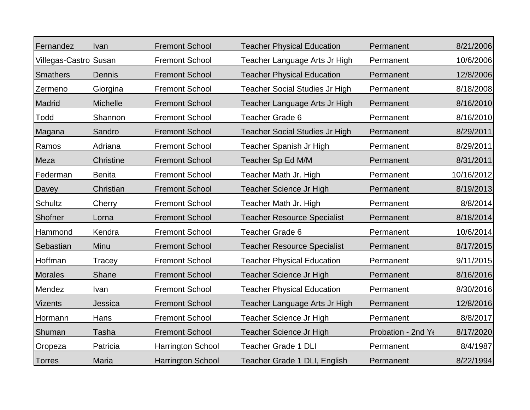| Fernandez             | Ivan             | <b>Fremont School</b>    | <b>Teacher Physical Education</b>     | Permanent         | 8/21/2006  |
|-----------------------|------------------|--------------------------|---------------------------------------|-------------------|------------|
| Villegas-Castro Susan |                  | <b>Fremont School</b>    | Teacher Language Arts Jr High         | Permanent         | 10/6/2006  |
| <b>Smathers</b>       | Dennis           | <b>Fremont School</b>    | <b>Teacher Physical Education</b>     | Permanent         | 12/8/2006  |
| Zermeno               | Giorgina         | <b>Fremont School</b>    | <b>Teacher Social Studies Jr High</b> | Permanent         | 8/18/2008  |
| Madrid                | <b>Michelle</b>  | <b>Fremont School</b>    | Teacher Language Arts Jr High         | Permanent         | 8/16/2010  |
| Todd                  | Shannon          | <b>Fremont School</b>    | <b>Teacher Grade 6</b>                | Permanent         | 8/16/2010  |
| Magana                | Sandro           | <b>Fremont School</b>    | <b>Teacher Social Studies Jr High</b> | Permanent         | 8/29/2011  |
| Ramos                 | Adriana          | <b>Fremont School</b>    | Teacher Spanish Jr High               | Permanent         | 8/29/2011  |
| Meza                  | <b>Christine</b> | <b>Fremont School</b>    | Teacher Sp Ed M/M                     | Permanent         | 8/31/2011  |
| Federman              | <b>Benita</b>    | <b>Fremont School</b>    | Teacher Math Jr. High                 | Permanent         | 10/16/2012 |
| Davey                 | Christian        | <b>Fremont School</b>    | Teacher Science Jr High               | Permanent         | 8/19/2013  |
| Schultz               | Cherry           | <b>Fremont School</b>    | Teacher Math Jr. High                 | Permanent         | 8/8/2014   |
| Shofner               | Lorna            | <b>Fremont School</b>    | <b>Teacher Resource Specialist</b>    | Permanent         | 8/18/2014  |
| Hammond               | Kendra           | <b>Fremont School</b>    | <b>Teacher Grade 6</b>                | Permanent         | 10/6/2014  |
| Sebastian             | Minu             | <b>Fremont School</b>    | <b>Teacher Resource Specialist</b>    | Permanent         | 8/17/2015  |
| Hoffman               | Tracey           | <b>Fremont School</b>    | <b>Teacher Physical Education</b>     | Permanent         | 9/11/2015  |
| <b>Morales</b>        | Shane            | <b>Fremont School</b>    | Teacher Science Jr High               | Permanent         | 8/16/2016  |
| Mendez                | Ivan             | <b>Fremont School</b>    | <b>Teacher Physical Education</b>     | Permanent         | 8/30/2016  |
| <b>Vizents</b>        | Jessica          | <b>Fremont School</b>    | Teacher Language Arts Jr High         | Permanent         | 12/8/2016  |
| Hormann               | Hans             | <b>Fremont School</b>    | Teacher Science Jr High               | Permanent         | 8/8/2017   |
| Shuman                | Tasha            | <b>Fremont School</b>    | <b>Teacher Science Jr High</b>        | Probation - 2nd Y | 8/17/2020  |
| Oropeza               | Patricia         | <b>Harrington School</b> | <b>Teacher Grade 1 DLI</b>            | Permanent         | 8/4/1987   |
| <b>Torres</b>         | Maria            | <b>Harrington School</b> | Teacher Grade 1 DLI, English          | Permanent         | 8/22/1994  |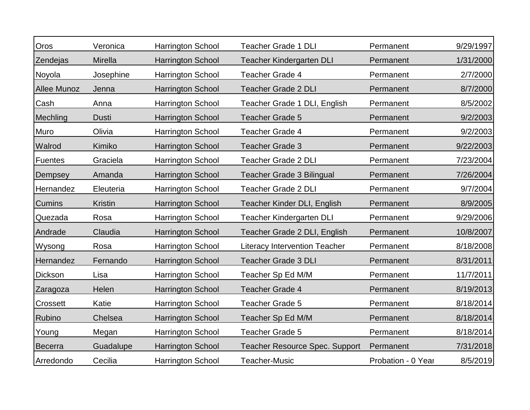| Oros               | Veronica       | Harrington School        | <b>Teacher Grade 1 DLI</b>            | Permanent          | 9/29/1997 |
|--------------------|----------------|--------------------------|---------------------------------------|--------------------|-----------|
| Zendejas           | Mirella        | <b>Harrington School</b> | <b>Teacher Kindergarten DLI</b>       | Permanent          | 1/31/2000 |
| Noyola             | Josephine      | Harrington School        | <b>Teacher Grade 4</b>                | Permanent          | 2/7/2000  |
| <b>Allee Munoz</b> | Jenna          | <b>Harrington School</b> | <b>Teacher Grade 2 DLI</b>            | Permanent          | 8/7/2000  |
| Cash               | Anna           | Harrington School        | Teacher Grade 1 DLI, English          | Permanent          | 8/5/2002  |
| Mechling           | <b>Dusti</b>   | <b>Harrington School</b> | <b>Teacher Grade 5</b>                | Permanent          | 9/2/2003  |
| Muro               | Olivia         | Harrington School        | <b>Teacher Grade 4</b>                | Permanent          | 9/2/2003  |
| Walrod             | Kimiko         | <b>Harrington School</b> | <b>Teacher Grade 3</b>                | Permanent          | 9/22/2003 |
| <b>Fuentes</b>     | Graciela       | Harrington School        | <b>Teacher Grade 2 DLI</b>            | Permanent          | 7/23/2004 |
| Dempsey            | Amanda         | <b>Harrington School</b> | <b>Teacher Grade 3 Bilingual</b>      | Permanent          | 7/26/2004 |
| Hernandez          | Eleuteria      | Harrington School        | <b>Teacher Grade 2 DLI</b>            | Permanent          | 9/7/2004  |
| Cumins             | <b>Kristin</b> | <b>Harrington School</b> | Teacher Kinder DLI, English           | Permanent          | 8/9/2005  |
| Quezada            | Rosa           | Harrington School        | <b>Teacher Kindergarten DLI</b>       | Permanent          | 9/29/2006 |
| Andrade            | Claudia        | <b>Harrington School</b> | Teacher Grade 2 DLI, English          | Permanent          | 10/8/2007 |
| Wysong             | Rosa           | Harrington School        | <b>Literacy Intervention Teacher</b>  | Permanent          | 8/18/2008 |
| Hernandez          | Fernando       | <b>Harrington School</b> | <b>Teacher Grade 3 DLI</b>            | Permanent          | 8/31/2011 |
| Dickson            | Lisa           | Harrington School        | Teacher Sp Ed M/M                     | Permanent          | 11/7/2011 |
| Zaragoza           | Helen          | <b>Harrington School</b> | <b>Teacher Grade 4</b>                | Permanent          | 8/19/2013 |
| Crossett           | Katie          | Harrington School        | Teacher Grade 5                       | Permanent          | 8/18/2014 |
| Rubino             | Chelsea        | <b>Harrington School</b> | Teacher Sp Ed M/M                     | Permanent          | 8/18/2014 |
| Young              | Megan          | Harrington School        | Teacher Grade 5                       | Permanent          | 8/18/2014 |
| <b>Becerra</b>     | Guadalupe      | <b>Harrington School</b> | <b>Teacher Resource Spec. Support</b> | Permanent          | 7/31/2018 |
| Arredondo          | Cecilia        | Harrington School        | <b>Teacher-Music</b>                  | Probation - 0 Year | 8/5/2019  |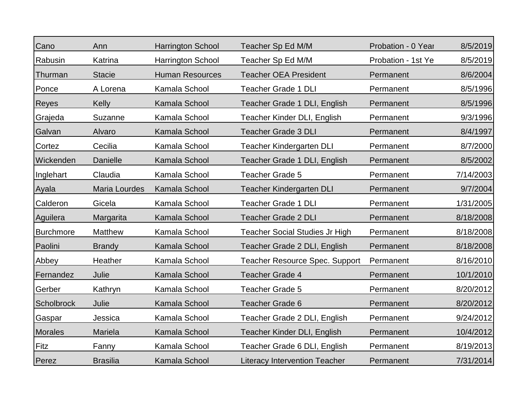| Cano              | Ann             | <b>Harrington School</b> | Teacher Sp Ed M/M                     | Probation - 0 Year | 8/5/2019  |
|-------------------|-----------------|--------------------------|---------------------------------------|--------------------|-----------|
| Rabusin           | Katrina         | <b>Harrington School</b> | Teacher Sp Ed M/M                     | Probation - 1st Ye | 8/5/2019  |
| Thurman           | <b>Stacie</b>   | <b>Human Resources</b>   | <b>Teacher OEA President</b>          | Permanent          | 8/6/2004  |
| Ponce             | A Lorena        | Kamala School            | <b>Teacher Grade 1 DLI</b>            | Permanent          | 8/5/1996  |
| <b>Reyes</b>      | Kelly           | Kamala School            | Teacher Grade 1 DLI, English          | Permanent          | 8/5/1996  |
| Grajeda           | Suzanne         | Kamala School            | Teacher Kinder DLI, English           | Permanent          | 9/3/1996  |
| Galvan            | Alvaro          | Kamala School            | <b>Teacher Grade 3 DLI</b>            | Permanent          | 8/4/1997  |
| Cortez            | Cecilia         | Kamala School            | <b>Teacher Kindergarten DLI</b>       | Permanent          | 8/7/2000  |
| Wickenden         | Danielle        | Kamala School            | Teacher Grade 1 DLI, English          | Permanent          | 8/5/2002  |
| Inglehart         | Claudia         | Kamala School            | <b>Teacher Grade 5</b>                | Permanent          | 7/14/2003 |
| Ayala             | Maria Lourdes   | Kamala School            | <b>Teacher Kindergarten DLI</b>       | Permanent          | 9/7/2004  |
| Calderon          | Gicela          | Kamala School            | <b>Teacher Grade 1 DLI</b>            | Permanent          | 1/31/2005 |
| Aguilera          | Margarita       | Kamala School            | <b>Teacher Grade 2 DLI</b>            | Permanent          | 8/18/2008 |
| <b>Burchmore</b>  | <b>Matthew</b>  | Kamala School            | <b>Teacher Social Studies Jr High</b> | Permanent          | 8/18/2008 |
| Paolini           | <b>Brandy</b>   | Kamala School            | Teacher Grade 2 DLI, English          | Permanent          | 8/18/2008 |
| Abbey             | Heather         | Kamala School            | <b>Teacher Resource Spec. Support</b> | Permanent          | 8/16/2010 |
| Fernandez         | Julie           | Kamala School            | <b>Teacher Grade 4</b>                | Permanent          | 10/1/2010 |
| Gerber            | Kathryn         | Kamala School            | <b>Teacher Grade 5</b>                | Permanent          | 8/20/2012 |
| <b>Scholbrock</b> | Julie           | Kamala School            | <b>Teacher Grade 6</b>                | Permanent          | 8/20/2012 |
| Gaspar            | Jessica         | Kamala School            | Teacher Grade 2 DLI, English          | Permanent          | 9/24/2012 |
| <b>Morales</b>    | Mariela         | Kamala School            | Teacher Kinder DLI, English           | Permanent          | 10/4/2012 |
| Fitz              | Fanny           | Kamala School            | Teacher Grade 6 DLI, English          | Permanent          | 8/19/2013 |
| Perez             | <b>Brasilia</b> | Kamala School            | <b>Literacy Intervention Teacher</b>  | Permanent          | 7/31/2014 |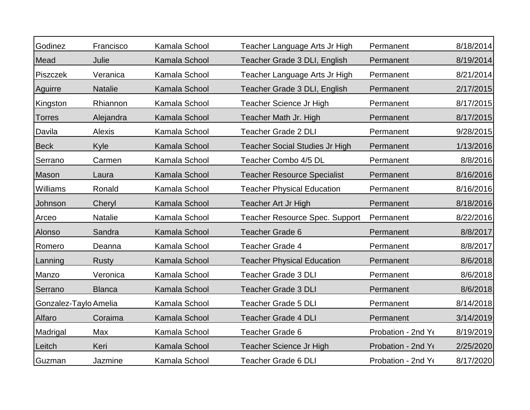| Godinez               | Francisco      | Kamala School | Teacher Language Arts Jr High         | Permanent          | 8/18/2014 |
|-----------------------|----------------|---------------|---------------------------------------|--------------------|-----------|
| Mead                  | Julie          | Kamala School | Teacher Grade 3 DLI, English          | Permanent          | 8/19/2014 |
| <b>Piszczek</b>       | Veranica       | Kamala School | Teacher Language Arts Jr High         | Permanent          | 8/21/2014 |
| Aguirre               | <b>Natalie</b> | Kamala School | Teacher Grade 3 DLI, English          | Permanent          | 2/17/2015 |
| Kingston              | Rhiannon       | Kamala School | Teacher Science Jr High               | Permanent          | 8/17/2015 |
| <b>Torres</b>         | Alejandra      | Kamala School | Teacher Math Jr. High                 | Permanent          | 8/17/2015 |
| Davila                | Alexis         | Kamala School | <b>Teacher Grade 2 DLI</b>            | Permanent          | 9/28/2015 |
| <b>Beck</b>           | Kyle           | Kamala School | <b>Teacher Social Studies Jr High</b> | Permanent          | 1/13/2016 |
| Serrano               | Carmen         | Kamala School | Teacher Combo 4/5 DL                  | Permanent          | 8/8/2016  |
| Mason                 | Laura          | Kamala School | <b>Teacher Resource Specialist</b>    | Permanent          | 8/16/2016 |
| Williams              | Ronald         | Kamala School | <b>Teacher Physical Education</b>     | Permanent          | 8/16/2016 |
| Johnson               | Cheryl         | Kamala School | <b>Teacher Art Jr High</b>            | Permanent          | 8/18/2016 |
| Arceo                 | <b>Natalie</b> | Kamala School | <b>Teacher Resource Spec. Support</b> | Permanent          | 8/22/2016 |
| Alonso                | Sandra         | Kamala School | <b>Teacher Grade 6</b>                | Permanent          | 8/8/2017  |
| Romero                | Deanna         | Kamala School | <b>Teacher Grade 4</b>                | Permanent          | 8/8/2017  |
| Lanning               | <b>Rusty</b>   | Kamala School | <b>Teacher Physical Education</b>     | Permanent          | 8/6/2018  |
| Manzo                 | Veronica       | Kamala School | <b>Teacher Grade 3 DLI</b>            | Permanent          | 8/6/2018  |
| Serrano               | <b>Blanca</b>  | Kamala School | <b>Teacher Grade 3 DLI</b>            | Permanent          | 8/6/2018  |
| Gonzalez-Taylo Amelia |                | Kamala School | <b>Teacher Grade 5 DLI</b>            | Permanent          | 8/14/2018 |
| Alfaro                | Coraima        | Kamala School | <b>Teacher Grade 4 DLI</b>            | Permanent          | 3/14/2019 |
| Madrigal              | Max            | Kamala School | Teacher Grade 6                       | Probation - 2nd Ye | 8/19/2019 |
| Leitch                | Keri           | Kamala School | Teacher Science Jr High               | Probation - 2nd Y  | 2/25/2020 |
| Guzman                | Jazmine        | Kamala School | <b>Teacher Grade 6 DLI</b>            | Probation - 2nd Yo | 8/17/2020 |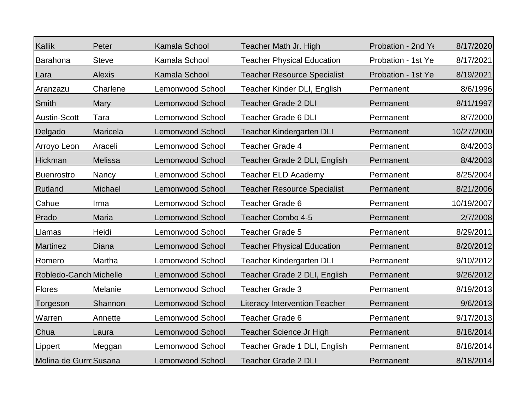| Kallik                 | Peter          | Kamala School           | Teacher Math Jr. High                | Probation - 2nd Ye | 8/17/2020  |
|------------------------|----------------|-------------------------|--------------------------------------|--------------------|------------|
| Barahona               | <b>Steve</b>   | Kamala School           | <b>Teacher Physical Education</b>    | Probation - 1st Ye | 8/17/2021  |
| Lara                   | <b>Alexis</b>  | Kamala School           | <b>Teacher Resource Specialist</b>   | Probation - 1st Ye | 8/19/2021  |
| Aranzazu               | Charlene       | <b>Lemonwood School</b> | Teacher Kinder DLI, English          | Permanent          | 8/6/1996   |
| <b>Smith</b>           | Mary           | <b>Lemonwood School</b> | <b>Teacher Grade 2 DLI</b>           | Permanent          | 8/11/1997  |
| <b>Austin-Scott</b>    | Tara           | <b>Lemonwood School</b> | <b>Teacher Grade 6 DLI</b>           | Permanent          | 8/7/2000   |
| Delgado                | Maricela       | <b>Lemonwood School</b> | <b>Teacher Kindergarten DLI</b>      | Permanent          | 10/27/2000 |
| Arroyo Leon            | Araceli        | <b>Lemonwood School</b> | <b>Teacher Grade 4</b>               | Permanent          | 8/4/2003   |
| Hickman                | <b>Melissa</b> | <b>Lemonwood School</b> | Teacher Grade 2 DLI, English         | Permanent          | 8/4/2003   |
| <b>Buenrostro</b>      | Nancy          | <b>Lemonwood School</b> | <b>Teacher ELD Academy</b>           | Permanent          | 8/25/2004  |
| Rutland                | Michael        | <b>Lemonwood School</b> | <b>Teacher Resource Specialist</b>   | Permanent          | 8/21/2006  |
| Cahue                  | Irma           | <b>Lemonwood School</b> | <b>Teacher Grade 6</b>               | Permanent          | 10/19/2007 |
| Prado                  | <b>Maria</b>   | <b>Lemonwood School</b> | <b>Teacher Combo 4-5</b>             | Permanent          | 2/7/2008   |
| Llamas                 | Heidi          | <b>Lemonwood School</b> | <b>Teacher Grade 5</b>               | Permanent          | 8/29/2011  |
| Martinez               | Diana          | <b>Lemonwood School</b> | <b>Teacher Physical Education</b>    | Permanent          | 8/20/2012  |
| Romero                 | Martha         | Lemonwood School        | <b>Teacher Kindergarten DLI</b>      | Permanent          | 9/10/2012  |
| Robledo-Canch Michelle |                | <b>Lemonwood School</b> | Teacher Grade 2 DLI, English         | Permanent          | 9/26/2012  |
| <b>Flores</b>          | Melanie        | Lemonwood School        | <b>Teacher Grade 3</b>               | Permanent          | 8/19/2013  |
| Torgeson               | Shannon        | <b>Lemonwood School</b> | <b>Literacy Intervention Teacher</b> | Permanent          | 9/6/2013   |
| Warren                 | Annette        | Lemonwood School        | <b>Teacher Grade 6</b>               | Permanent          | 9/17/2013  |
| Chua                   | Laura          | <b>Lemonwood School</b> | Teacher Science Jr High              | Permanent          | 8/18/2014  |
| Lippert                | Meggan         | <b>Lemonwood School</b> | Teacher Grade 1 DLI, English         | Permanent          | 8/18/2014  |
| Molina de Gurrc Susana |                | <b>Lemonwood School</b> | <b>Teacher Grade 2 DLI</b>           | Permanent          | 8/18/2014  |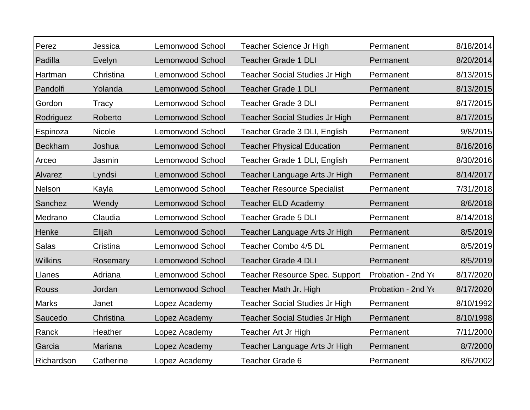| Perez          | Jessica       | Lemonwood School        | Teacher Science Jr High               | Permanent          | 8/18/2014 |
|----------------|---------------|-------------------------|---------------------------------------|--------------------|-----------|
| Padilla        | Evelyn        | <b>Lemonwood School</b> | <b>Teacher Grade 1 DLI</b>            | Permanent          | 8/20/2014 |
| Hartman        | Christina     | Lemonwood School        | <b>Teacher Social Studies Jr High</b> | Permanent          | 8/13/2015 |
| Pandolfi       | Yolanda       | <b>Lemonwood School</b> | <b>Teacher Grade 1 DLI</b>            | Permanent          | 8/13/2015 |
| Gordon         | Tracy         | Lemonwood School        | <b>Teacher Grade 3 DLI</b>            | Permanent          | 8/17/2015 |
| Rodriguez      | Roberto       | <b>Lemonwood School</b> | <b>Teacher Social Studies Jr High</b> | Permanent          | 8/17/2015 |
| Espinoza       | <b>Nicole</b> | Lemonwood School        | Teacher Grade 3 DLI, English          | Permanent          | 9/8/2015  |
| <b>Beckham</b> | Joshua        | <b>Lemonwood School</b> | <b>Teacher Physical Education</b>     | Permanent          | 8/16/2016 |
| Arceo          | Jasmin        | Lemonwood School        | Teacher Grade 1 DLI, English          | Permanent          | 8/30/2016 |
| Alvarez        | Lyndsi        | <b>Lemonwood School</b> | Teacher Language Arts Jr High         | Permanent          | 8/14/2017 |
| Nelson         | Kayla         | <b>Lemonwood School</b> | <b>Teacher Resource Specialist</b>    | Permanent          | 7/31/2018 |
| Sanchez        | Wendy         | Lemonwood School        | <b>Teacher ELD Academy</b>            | Permanent          | 8/6/2018  |
| Medrano        | Claudia       | Lemonwood School        | <b>Teacher Grade 5 DLI</b>            | Permanent          | 8/14/2018 |
| Henke          | Elijah        | <b>Lemonwood School</b> | Teacher Language Arts Jr High         | Permanent          | 8/5/2019  |
| <b>Salas</b>   | Cristina      | Lemonwood School        | Teacher Combo 4/5 DL                  | Permanent          | 8/5/2019  |
| <b>Wilkins</b> | Rosemary      | <b>Lemonwood School</b> | <b>Teacher Grade 4 DLI</b>            | Permanent          | 8/5/2019  |
| Llanes         | Adriana       | <b>Lemonwood School</b> | <b>Teacher Resource Spec. Support</b> | Probation - 2nd Ye | 8/17/2020 |
| <b>Rouss</b>   | Jordan        | Lemonwood School        | Teacher Math Jr. High                 | Probation - 2nd Y  | 8/17/2020 |
| <b>Marks</b>   | Janet         | Lopez Academy           | <b>Teacher Social Studies Jr High</b> | Permanent          | 8/10/1992 |
| Saucedo        | Christina     | Lopez Academy           | <b>Teacher Social Studies Jr High</b> | Permanent          | 8/10/1998 |
| Ranck          | Heather       | Lopez Academy           | Teacher Art Jr High                   | Permanent          | 7/11/2000 |
| Garcia         | Mariana       | Lopez Academy           | Teacher Language Arts Jr High         | Permanent          | 8/7/2000  |
| Richardson     | Catherine     | Lopez Academy           | <b>Teacher Grade 6</b>                | Permanent          | 8/6/2002  |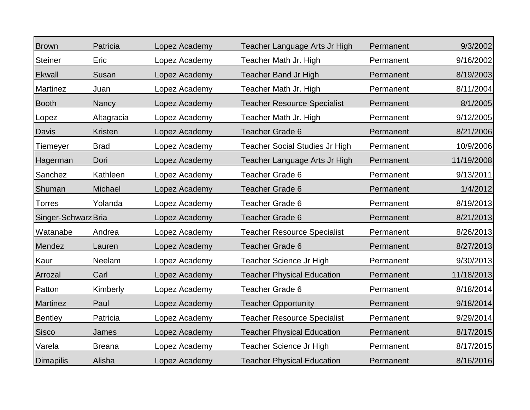| <b>Brown</b>        | Patricia       | Lopez Academy | Teacher Language Arts Jr High         | Permanent | 9/3/2002   |
|---------------------|----------------|---------------|---------------------------------------|-----------|------------|
| <b>Steiner</b>      | Eric           | Lopez Academy | Teacher Math Jr. High                 | Permanent | 9/16/2002  |
| <b>Ekwall</b>       | Susan          | Lopez Academy | <b>Teacher Band Jr High</b>           | Permanent | 8/19/2003  |
| <b>Martinez</b>     | Juan           | Lopez Academy | Teacher Math Jr. High                 | Permanent | 8/11/2004  |
| <b>Booth</b>        | Nancy          | Lopez Academy | <b>Teacher Resource Specialist</b>    | Permanent | 8/1/2005   |
| Lopez               | Altagracia     | Lopez Academy | Teacher Math Jr. High                 | Permanent | 9/12/2005  |
| <b>Davis</b>        | <b>Kristen</b> | Lopez Academy | <b>Teacher Grade 6</b>                | Permanent | 8/21/2006  |
| Tiemeyer            | <b>Brad</b>    | Lopez Academy | <b>Teacher Social Studies Jr High</b> | Permanent | 10/9/2006  |
| Hagerman            | Dori           | Lopez Academy | Teacher Language Arts Jr High         | Permanent | 11/19/2008 |
| Sanchez             | Kathleen       | Lopez Academy | <b>Teacher Grade 6</b>                | Permanent | 9/13/2011  |
| Shuman              | Michael        | Lopez Academy | <b>Teacher Grade 6</b>                | Permanent | 1/4/2012   |
| <b>Torres</b>       | Yolanda        | Lopez Academy | <b>Teacher Grade 6</b>                | Permanent | 8/19/2013  |
| Singer-Schwarz Bria |                | Lopez Academy | <b>Teacher Grade 6</b>                | Permanent | 8/21/2013  |
| Watanabe            | Andrea         | Lopez Academy | <b>Teacher Resource Specialist</b>    | Permanent | 8/26/2013  |
| Mendez              | Lauren         | Lopez Academy | <b>Teacher Grade 6</b>                | Permanent | 8/27/2013  |
| Kaur                | Neelam         | Lopez Academy | Teacher Science Jr High               | Permanent | 9/30/2013  |
| Arrozal             | Carl           | Lopez Academy | <b>Teacher Physical Education</b>     | Permanent | 11/18/2013 |
| Patton              | Kimberly       | Lopez Academy | <b>Teacher Grade 6</b>                | Permanent | 8/18/2014  |
| Martinez            | Paul           | Lopez Academy | <b>Teacher Opportunity</b>            | Permanent | 9/18/2014  |
| <b>Bentley</b>      | Patricia       | Lopez Academy | <b>Teacher Resource Specialist</b>    | Permanent | 9/29/2014  |
| <b>Sisco</b>        | James          | Lopez Academy | <b>Teacher Physical Education</b>     | Permanent | 8/17/2015  |
| Varela              | <b>Breana</b>  | Lopez Academy | Teacher Science Jr High               | Permanent | 8/17/2015  |
| Dimapilis           | Alisha         | Lopez Academy | <b>Teacher Physical Education</b>     | Permanent | 8/16/2016  |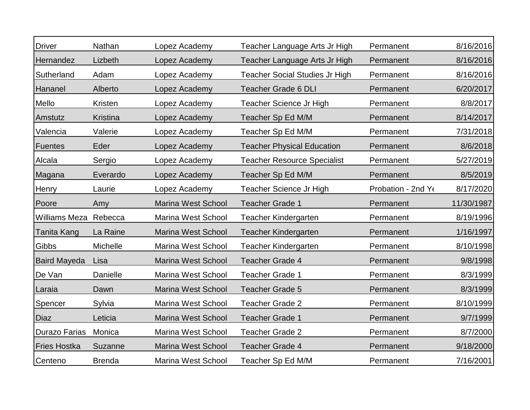| <b>Driver</b>       | Nathan        | Lopez Academy             | Teacher Language Arts Jr High         | Permanent          | 8/16/2016  |
|---------------------|---------------|---------------------------|---------------------------------------|--------------------|------------|
| Hernandez           | Lizbeth       | Lopez Academy             | Teacher Language Arts Jr High         | Permanent          | 8/16/2016  |
| Sutherland          | Adam          | Lopez Academy             | <b>Teacher Social Studies Jr High</b> | Permanent          | 8/16/2016  |
| Hananel             | Alberto       | Lopez Academy             | <b>Teacher Grade 6 DLI</b>            | Permanent          | 6/20/2017  |
| Mello               | Kristen       | Lopez Academy             | Teacher Science Jr High               | Permanent          | 8/8/2017   |
| Amstutz             | Kristina      | Lopez Academy             | Teacher Sp Ed M/M                     | Permanent          | 8/14/2017  |
| Valencia            | Valerie       | Lopez Academy             | Teacher Sp Ed M/M                     | Permanent          | 7/31/2018  |
| <b>Fuentes</b>      | Eder          | Lopez Academy             | <b>Teacher Physical Education</b>     | Permanent          | 8/6/2018   |
| Alcala              | Sergio        | Lopez Academy             | <b>Teacher Resource Specialist</b>    | Permanent          | 5/27/2019  |
| Magana              | Everardo      | Lopez Academy             | Teacher Sp Ed M/M                     | Permanent          | 8/5/2019   |
| Henry               | Laurie        | Lopez Academy             | Teacher Science Jr High               | Probation - 2nd Ye | 8/17/2020  |
| Poore               | Amy           | <b>Marina West School</b> | <b>Teacher Grade 1</b>                | Permanent          | 11/30/1987 |
| Williams Meza       | Rebecca       | Marina West School        | <b>Teacher Kindergarten</b>           | Permanent          | 8/19/1996  |
| Tanita Kang         | La Raine      | <b>Marina West School</b> | <b>Teacher Kindergarten</b>           | Permanent          | 1/16/1997  |
| Gibbs               | Michelle      | Marina West School        | <b>Teacher Kindergarten</b>           | Permanent          | 8/10/1998  |
| <b>Baird Mayeda</b> | Lisa          | <b>Marina West School</b> | <b>Teacher Grade 4</b>                | Permanent          | 9/8/1998   |
| De Van              | Danielle      | <b>Marina West School</b> | <b>Teacher Grade 1</b>                | Permanent          | 8/3/1999   |
| Laraia              | Dawn          | <b>Marina West School</b> | <b>Teacher Grade 5</b>                | Permanent          | 8/3/1999   |
| Spencer             | Sylvia        | Marina West School        | <b>Teacher Grade 2</b>                | Permanent          | 8/10/1999  |
| Diaz                | Leticia       | Marina West School        | <b>Teacher Grade 1</b>                | Permanent          | 9/7/1999   |
| Durazo Farias       | Monica        | Marina West School        | <b>Teacher Grade 2</b>                | Permanent          | 8/7/2000   |
| <b>Fries Hostka</b> | Suzanne       | <b>Marina West School</b> | Teacher Grade 4                       | Permanent          | 9/18/2000  |
| Centeno             | <b>Brenda</b> | Marina West School        | Teacher Sp Ed M/M                     | Permanent          | 7/16/2001  |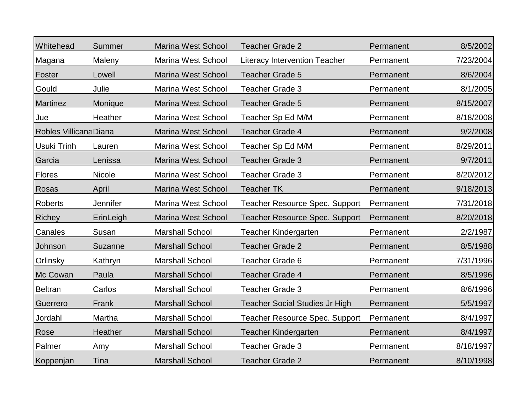| Whitehead              | Summer    | <b>Marina West School</b> | <b>Teacher Grade 2</b>                | Permanent | 8/5/2002  |
|------------------------|-----------|---------------------------|---------------------------------------|-----------|-----------|
| Magana                 | Maleny    | <b>Marina West School</b> | <b>Literacy Intervention Teacher</b>  | Permanent | 7/23/2004 |
| Foster                 | Lowell    | <b>Marina West School</b> | <b>Teacher Grade 5</b>                | Permanent | 8/6/2004  |
| Gould                  | Julie     | Marina West School        | <b>Teacher Grade 3</b>                | Permanent | 8/1/2005  |
| <b>Martinez</b>        | Monique   | <b>Marina West School</b> | <b>Teacher Grade 5</b>                | Permanent | 8/15/2007 |
| Jue                    | Heather   | <b>Marina West School</b> | Teacher Sp Ed M/M                     | Permanent | 8/18/2008 |
| Robles Villicana Diana |           | <b>Marina West School</b> | <b>Teacher Grade 4</b>                | Permanent | 9/2/2008  |
| Usuki Trinh            | Lauren    | <b>Marina West School</b> | Teacher Sp Ed M/M                     | Permanent | 8/29/2011 |
| Garcia                 | Lenissa   | <b>Marina West School</b> | <b>Teacher Grade 3</b>                | Permanent | 9/7/2011  |
| <b>Flores</b>          | Nicole    | Marina West School        | <b>Teacher Grade 3</b>                | Permanent | 8/20/2012 |
| Rosas                  | April     | <b>Marina West School</b> | <b>Teacher TK</b>                     | Permanent | 9/18/2013 |
| <b>Roberts</b>         | Jennifer  | <b>Marina West School</b> | Teacher Resource Spec. Support        | Permanent | 7/31/2018 |
| <b>Richey</b>          | ErinLeigh | <b>Marina West School</b> | <b>Teacher Resource Spec. Support</b> | Permanent | 8/20/2018 |
| Canales                | Susan     | <b>Marshall School</b>    | Teacher Kindergarten                  | Permanent | 2/2/1987  |
| Johnson                | Suzanne   | <b>Marshall School</b>    | <b>Teacher Grade 2</b>                | Permanent | 8/5/1988  |
| Orlinsky               | Kathryn   | <b>Marshall School</b>    | <b>Teacher Grade 6</b>                | Permanent | 7/31/1996 |
| Mc Cowan               | Paula     | <b>Marshall School</b>    | <b>Teacher Grade 4</b>                | Permanent | 8/5/1996  |
| <b>Beltran</b>         | Carlos    | <b>Marshall School</b>    | <b>Teacher Grade 3</b>                | Permanent | 8/6/1996  |
| Guerrero               | Frank     | <b>Marshall School</b>    | <b>Teacher Social Studies Jr High</b> | Permanent | 5/5/1997  |
| Jordahl                | Martha    | <b>Marshall School</b>    | <b>Teacher Resource Spec. Support</b> | Permanent | 8/4/1997  |
| Rose                   | Heather   | <b>Marshall School</b>    | <b>Teacher Kindergarten</b>           | Permanent | 8/4/1997  |
| Palmer                 | Amy       | <b>Marshall School</b>    | <b>Teacher Grade 3</b>                | Permanent | 8/18/1997 |
| Koppenjan              | Tina      | <b>Marshall School</b>    | <b>Teacher Grade 2</b>                | Permanent | 8/10/1998 |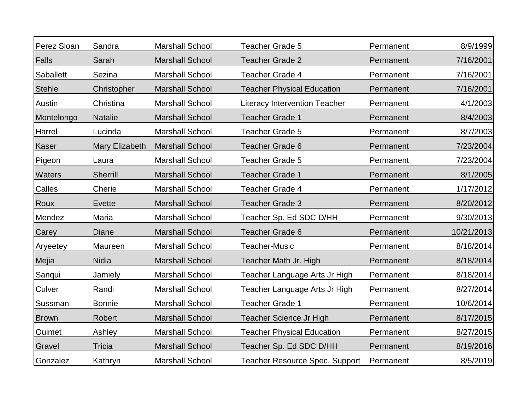| Perez Sloan   | Sandra          | <b>Marshall School</b> | <b>Teacher Grade 5</b>                | Permanent | 8/9/1999   |
|---------------|-----------------|------------------------|---------------------------------------|-----------|------------|
| Falls         | Sarah           | <b>Marshall School</b> | <b>Teacher Grade 2</b>                | Permanent | 7/16/2001  |
| Saballett     | Sezina          | <b>Marshall School</b> | <b>Teacher Grade 4</b>                | Permanent | 7/16/2001  |
| <b>Stehle</b> | Christopher     | <b>Marshall School</b> | <b>Teacher Physical Education</b>     | Permanent | 7/16/2001  |
| Austin        | Christina       | <b>Marshall School</b> | <b>Literacy Intervention Teacher</b>  | Permanent | 4/1/2003   |
| Montelongo    | <b>Natalie</b>  | <b>Marshall School</b> | <b>Teacher Grade 1</b>                | Permanent | 8/4/2003   |
| Harrel        | Lucinda         | <b>Marshall School</b> | <b>Teacher Grade 5</b>                | Permanent | 8/7/2003   |
| Kaser         | Mary Elizabeth  | <b>Marshall School</b> | <b>Teacher Grade 6</b>                | Permanent | 7/23/2004  |
| Pigeon        | Laura           | <b>Marshall School</b> | <b>Teacher Grade 5</b>                | Permanent | 7/23/2004  |
| Waters        | <b>Sherrill</b> | <b>Marshall School</b> | <b>Teacher Grade 1</b>                | Permanent | 8/1/2005   |
| Calles        | Cherie          | <b>Marshall School</b> | Teacher Grade 4                       | Permanent | 1/17/2012  |
| Roux          | Evette          | <b>Marshall School</b> | <b>Teacher Grade 3</b>                | Permanent | 8/20/2012  |
| Mendez        | Maria           | <b>Marshall School</b> | Teacher Sp. Ed SDC D/HH               | Permanent | 9/30/2013  |
| Carey         | <b>Diane</b>    | <b>Marshall School</b> | <b>Teacher Grade 6</b>                | Permanent | 10/21/2013 |
| Aryeetey      | Maureen         | <b>Marshall School</b> | <b>Teacher-Music</b>                  | Permanent | 8/18/2014  |
| Mejia         | <b>Nidia</b>    | <b>Marshall School</b> | Teacher Math Jr. High                 | Permanent | 8/18/2014  |
| Sanqui        | Jamiely         | <b>Marshall School</b> | Teacher Language Arts Jr High         | Permanent | 8/18/2014  |
| Culver        | Randi           | <b>Marshall School</b> | Teacher Language Arts Jr High         | Permanent | 8/27/2014  |
| Sussman       | <b>Bonnie</b>   | <b>Marshall School</b> | Teacher Grade 1                       | Permanent | 10/6/2014  |
| <b>Brown</b>  | Robert          | <b>Marshall School</b> | Teacher Science Jr High               | Permanent | 8/17/2015  |
| Ouimet        | Ashley          | <b>Marshall School</b> | <b>Teacher Physical Education</b>     | Permanent | 8/27/2015  |
| Gravel        | <b>Tricia</b>   | <b>Marshall School</b> | Teacher Sp. Ed SDC D/HH               | Permanent | 8/19/2016  |
| Gonzalez      | Kathryn         | <b>Marshall School</b> | <b>Teacher Resource Spec. Support</b> | Permanent | 8/5/2019   |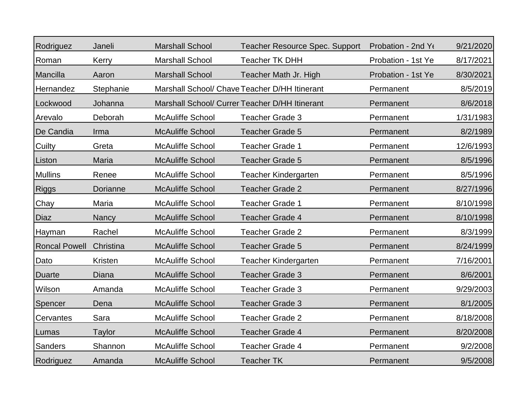| Rodriguez            | Janeli        | <b>Marshall School</b>  | <b>Teacher Resource Spec. Support</b>          | Probation - 2nd Yo | 9/21/2020 |
|----------------------|---------------|-------------------------|------------------------------------------------|--------------------|-----------|
| Roman                | Kerry         | <b>Marshall School</b>  | <b>Teacher TK DHH</b>                          | Probation - 1st Ye | 8/17/2021 |
| Mancilla             | Aaron         | <b>Marshall School</b>  | Teacher Math Jr. High                          | Probation - 1st Ye | 8/30/2021 |
| Hernandez            | Stephanie     |                         | Marshall School/ Chave Teacher D/HH Itinerant  | Permanent          | 8/5/2019  |
| Lockwood             | Johanna       |                         | Marshall School/ Currer Teacher D/HH Itinerant | Permanent          | 8/6/2018  |
| Arevalo              | Deborah       | <b>McAuliffe School</b> | <b>Teacher Grade 3</b>                         | Permanent          | 1/31/1983 |
| De Candia            | Irma          | <b>McAuliffe School</b> | <b>Teacher Grade 5</b>                         | Permanent          | 8/2/1989  |
| Cuilty               | Greta         | <b>McAuliffe School</b> | <b>Teacher Grade 1</b>                         | Permanent          | 12/6/1993 |
| Liston               | <b>Maria</b>  | <b>McAuliffe School</b> | <b>Teacher Grade 5</b>                         | Permanent          | 8/5/1996  |
| <b>Mullins</b>       | Renee         | <b>McAuliffe School</b> | Teacher Kindergarten                           | Permanent          | 8/5/1996  |
| <b>Riggs</b>         | Dorianne      | <b>McAuliffe School</b> | <b>Teacher Grade 2</b>                         | Permanent          | 8/27/1996 |
| Chay                 | Maria         | <b>McAuliffe School</b> | <b>Teacher Grade 1</b>                         | Permanent          | 8/10/1998 |
| <b>Diaz</b>          | Nancy         | <b>McAuliffe School</b> | Teacher Grade 4                                | Permanent          | 8/10/1998 |
| <b>Hayman</b>        | Rachel        | <b>McAuliffe School</b> | <b>Teacher Grade 2</b>                         | Permanent          | 8/3/1999  |
| <b>Roncal Powell</b> | Christina     | <b>McAuliffe School</b> | <b>Teacher Grade 5</b>                         | Permanent          | 8/24/1999 |
| Dato                 | Kristen       | <b>McAuliffe School</b> | Teacher Kindergarten                           | Permanent          | 7/16/2001 |
| <b>Duarte</b>        | <b>Diana</b>  | <b>McAuliffe School</b> | <b>Teacher Grade 3</b>                         | Permanent          | 8/6/2001  |
| Wilson               | Amanda        | <b>McAuliffe School</b> | Teacher Grade 3                                | Permanent          | 9/29/2003 |
| Spencer              | Dena          | <b>McAuliffe School</b> | <b>Teacher Grade 3</b>                         | Permanent          | 8/1/2005  |
| Cervantes            | Sara          | <b>McAuliffe School</b> | <b>Teacher Grade 2</b>                         | Permanent          | 8/18/2008 |
| Lumas                | <b>Taylor</b> | <b>McAuliffe School</b> | Teacher Grade 4                                | Permanent          | 8/20/2008 |
| <b>Sanders</b>       | Shannon       | <b>McAuliffe School</b> | Teacher Grade 4                                | Permanent          | 9/2/2008  |
| Rodriguez            | Amanda        | <b>McAuliffe School</b> | <b>Teacher TK</b>                              | Permanent          | 9/5/2008  |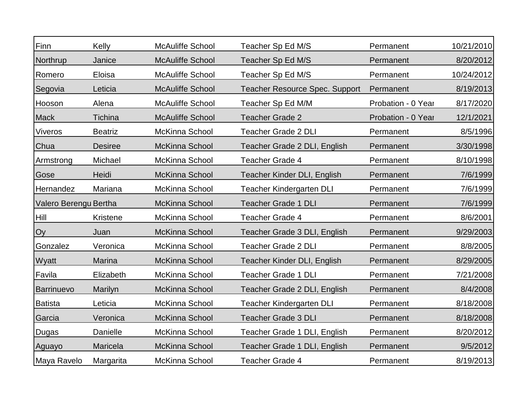| Finn                  | Kelly          | <b>McAuliffe School</b> | Teacher Sp Ed M/S                     | Permanent          | 10/21/2010 |
|-----------------------|----------------|-------------------------|---------------------------------------|--------------------|------------|
| Northrup              | Janice         | <b>McAuliffe School</b> | Teacher Sp Ed M/S                     | Permanent          | 8/20/2012  |
| Romero                | Eloisa         | <b>McAuliffe School</b> | Teacher Sp Ed M/S                     | Permanent          | 10/24/2012 |
| Segovia               | Leticia        | <b>McAuliffe School</b> | <b>Teacher Resource Spec. Support</b> | Permanent          | 8/19/2013  |
| Hooson                | Alena          | <b>McAuliffe School</b> | Teacher Sp Ed M/M                     | Probation - 0 Year | 8/17/2020  |
| <b>Mack</b>           | Tichina        | <b>McAuliffe School</b> | <b>Teacher Grade 2</b>                | Probation - 0 Year | 12/1/2021  |
| <b>Viveros</b>        | <b>Beatriz</b> | <b>McKinna School</b>   | Teacher Grade 2 DLI                   | Permanent          | 8/5/1996   |
| Chua                  | <b>Desiree</b> | McKinna School          | Teacher Grade 2 DLI, English          | Permanent          | 3/30/1998  |
| Armstrong             | Michael        | McKinna School          | <b>Teacher Grade 4</b>                | Permanent          | 8/10/1998  |
| Gose                  | Heidi          | <b>McKinna School</b>   | Teacher Kinder DLI, English           | Permanent          | 7/6/1999   |
| Hernandez             | Mariana        | McKinna School          | <b>Teacher Kindergarten DLI</b>       | Permanent          | 7/6/1999   |
| Valero Berengu Bertha |                | McKinna School          | <b>Teacher Grade 1 DLI</b>            | Permanent          | 7/6/1999   |
| Hill                  | Kristene       | McKinna School          | <b>Teacher Grade 4</b>                | Permanent          | 8/6/2001   |
| Oy                    | Juan           | McKinna School          | Teacher Grade 3 DLI, English          | Permanent          | 9/29/2003  |
| Gonzalez              | Veronica       | McKinna School          | <b>Teacher Grade 2 DLI</b>            | Permanent          | 8/8/2005   |
| Wyatt                 | Marina         | <b>McKinna School</b>   | Teacher Kinder DLI, English           | Permanent          | 8/29/2005  |
| Favila                | Elizabeth      | <b>McKinna School</b>   | <b>Teacher Grade 1 DLI</b>            | Permanent          | 7/21/2008  |
| <b>Barrinuevo</b>     | Marilyn        | <b>McKinna School</b>   | Teacher Grade 2 DLI, English          | Permanent          | 8/4/2008   |
| <b>Batista</b>        | Leticia        | <b>McKinna School</b>   | <b>Teacher Kindergarten DLI</b>       | Permanent          | 8/18/2008  |
| Garcia                | Veronica       | McKinna School          | <b>Teacher Grade 3 DLI</b>            | Permanent          | 8/18/2008  |
| Dugas                 | Danielle       | <b>McKinna School</b>   | Teacher Grade 1 DLI, English          | Permanent          | 8/20/2012  |
| Aguayo                | Maricela       | McKinna School          | Teacher Grade 1 DLI, English          | Permanent          | 9/5/2012   |
| Maya Ravelo           | Margarita      | McKinna School          | <b>Teacher Grade 4</b>                | Permanent          | 8/19/2013  |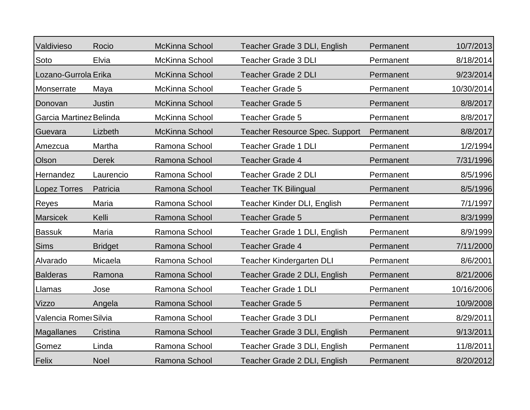| Valdivieso              | Rocio          | <b>McKinna School</b> | Teacher Grade 3 DLI, English          | Permanent | 10/7/2013  |
|-------------------------|----------------|-----------------------|---------------------------------------|-----------|------------|
| Soto                    | Elvia          | McKinna School        | <b>Teacher Grade 3 DLI</b>            | Permanent | 8/18/2014  |
| Lozano-Gurrola Erika    |                | McKinna School        | <b>Teacher Grade 2 DLI</b>            | Permanent | 9/23/2014  |
| Monserrate              | Maya           | <b>McKinna School</b> | <b>Teacher Grade 5</b>                | Permanent | 10/30/2014 |
| Donovan                 | <b>Justin</b>  | <b>McKinna School</b> | <b>Teacher Grade 5</b>                | Permanent | 8/8/2017   |
| Garcia Martinez Belinda |                | <b>McKinna School</b> | <b>Teacher Grade 5</b>                | Permanent | 8/8/2017   |
| Guevara                 | Lizbeth        | <b>McKinna School</b> | <b>Teacher Resource Spec. Support</b> | Permanent | 8/8/2017   |
| Amezcua                 | Martha         | Ramona School         | <b>Teacher Grade 1 DLI</b>            | Permanent | 1/2/1994   |
| Olson                   | <b>Derek</b>   | Ramona School         | <b>Teacher Grade 4</b>                | Permanent | 7/31/1996  |
| Hernandez               | Laurencio      | Ramona School         | <b>Teacher Grade 2 DLI</b>            | Permanent | 8/5/1996   |
| Lopez Torres            | Patricia       | Ramona School         | <b>Teacher TK Bilingual</b>           | Permanent | 8/5/1996   |
| Reyes                   | Maria          | Ramona School         | Teacher Kinder DLI, English           | Permanent | 7/1/1997   |
| <b>Marsicek</b>         | Kelli          | Ramona School         | <b>Teacher Grade 5</b>                | Permanent | 8/3/1999   |
| <b>Bassuk</b>           | Maria          | Ramona School         | Teacher Grade 1 DLI, English          | Permanent | 8/9/1999   |
| <b>Sims</b>             | <b>Bridget</b> | Ramona School         | <b>Teacher Grade 4</b>                | Permanent | 7/11/2000  |
| Alvarado                | Micaela        | Ramona School         | <b>Teacher Kindergarten DLI</b>       | Permanent | 8/6/2001   |
| <b>Balderas</b>         | Ramona         | Ramona School         | Teacher Grade 2 DLI, English          | Permanent | 8/21/2006  |
| Llamas                  | Jose           | Ramona School         | <b>Teacher Grade 1 DLI</b>            | Permanent | 10/16/2006 |
| Vizzo                   | Angela         | Ramona School         | <b>Teacher Grade 5</b>                | Permanent | 10/9/2008  |
| Valencia Romei Silvia   |                | Ramona School         | <b>Teacher Grade 3 DLI</b>            | Permanent | 8/29/2011  |
| Magallanes              | Cristina       | Ramona School         | Teacher Grade 3 DLI, English          | Permanent | 9/13/2011  |
| Gomez                   | Linda          | Ramona School         | Teacher Grade 3 DLI, English          | Permanent | 11/8/2011  |
| Felix                   | <b>Noel</b>    | Ramona School         | Teacher Grade 2 DLI, English          | Permanent | 8/20/2012  |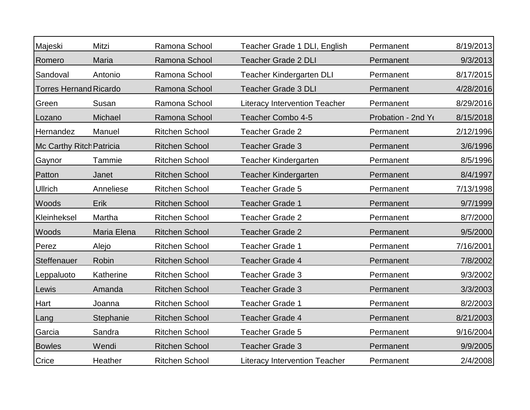| Majeski                       | Mitzi       | Ramona School         | Teacher Grade 1 DLI, English         | Permanent          | 8/19/2013 |
|-------------------------------|-------------|-----------------------|--------------------------------------|--------------------|-----------|
| Romero                        | Maria       | Ramona School         | <b>Teacher Grade 2 DLI</b>           | Permanent          | 9/3/2013  |
| Sandoval                      | Antonio     | Ramona School         | <b>Teacher Kindergarten DLI</b>      | Permanent          | 8/17/2015 |
| <b>Torres Hernand Ricardo</b> |             | Ramona School         | <b>Teacher Grade 3 DLI</b>           | Permanent          | 4/28/2016 |
| Green                         | Susan       | Ramona School         | <b>Literacy Intervention Teacher</b> | Permanent          | 8/29/2016 |
| Lozano                        | Michael     | Ramona School         | Teacher Combo 4-5                    | Probation - 2nd Ye | 8/15/2018 |
| Hernandez                     | Manuel      | <b>Ritchen School</b> | <b>Teacher Grade 2</b>               | Permanent          | 2/12/1996 |
| Mc Carthy Ritch Patricia      |             | <b>Ritchen School</b> | <b>Teacher Grade 3</b>               | Permanent          | 3/6/1996  |
| Gaynor                        | Tammie      | <b>Ritchen School</b> | Teacher Kindergarten                 | Permanent          | 8/5/1996  |
| Patton                        | Janet       | <b>Ritchen School</b> | <b>Teacher Kindergarten</b>          | Permanent          | 8/4/1997  |
| <b>Ullrich</b>                | Anneliese   | <b>Ritchen School</b> | <b>Teacher Grade 5</b>               | Permanent          | 7/13/1998 |
| Woods                         | Erik        | <b>Ritchen School</b> | <b>Teacher Grade 1</b>               | Permanent          | 9/7/1999  |
| Kleinheksel                   | Martha      | <b>Ritchen School</b> | <b>Teacher Grade 2</b>               | Permanent          | 8/7/2000  |
| Woods                         | Maria Elena | <b>Ritchen School</b> | <b>Teacher Grade 2</b>               | Permanent          | 9/5/2000  |
| Perez                         | Alejo       | <b>Ritchen School</b> | <b>Teacher Grade 1</b>               | Permanent          | 7/16/2001 |
| Steffenauer                   | Robin       | <b>Ritchen School</b> | <b>Teacher Grade 4</b>               | Permanent          | 7/8/2002  |
| Leppaluoto                    | Katherine   | <b>Ritchen School</b> | <b>Teacher Grade 3</b>               | Permanent          | 9/3/2002  |
| Lewis                         | Amanda      | <b>Ritchen School</b> | <b>Teacher Grade 3</b>               | Permanent          | 3/3/2003  |
| Hart                          | Joanna      | <b>Ritchen School</b> | Teacher Grade 1                      | Permanent          | 8/2/2003  |
| Lang                          | Stephanie   | <b>Ritchen School</b> | <b>Teacher Grade 4</b>               | Permanent          | 8/21/2003 |
| Garcia                        | Sandra      | <b>Ritchen School</b> | Teacher Grade 5                      | Permanent          | 9/16/2004 |
| <b>Bowles</b>                 | Wendi       | <b>Ritchen School</b> | <b>Teacher Grade 3</b>               | Permanent          | 9/9/2005  |
| Crice                         | Heather     | <b>Ritchen School</b> | <b>Literacy Intervention Teacher</b> | Permanent          | 2/4/2008  |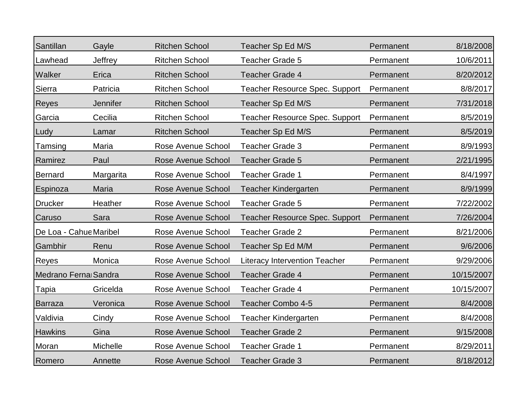| Santillan              | Gayle           | <b>Ritchen School</b>     | Teacher Sp Ed M/S                     | Permanent | 8/18/2008  |
|------------------------|-----------------|---------------------------|---------------------------------------|-----------|------------|
| Lawhead                | Jeffrey         | <b>Ritchen School</b>     | <b>Teacher Grade 5</b>                | Permanent | 10/6/2011  |
| Walker                 | Erica           | <b>Ritchen School</b>     | Teacher Grade 4                       | Permanent | 8/20/2012  |
| Sierra                 | Patricia        | <b>Ritchen School</b>     | <b>Teacher Resource Spec. Support</b> | Permanent | 8/8/2017   |
| Reyes                  | <b>Jennifer</b> | <b>Ritchen School</b>     | Teacher Sp Ed M/S                     | Permanent | 7/31/2018  |
| Garcia                 | Cecilia         | <b>Ritchen School</b>     | <b>Teacher Resource Spec. Support</b> | Permanent | 8/5/2019   |
| Ludy                   | Lamar           | <b>Ritchen School</b>     | Teacher Sp Ed M/S                     | Permanent | 8/5/2019   |
| Tamsing                | Maria           | Rose Avenue School        | <b>Teacher Grade 3</b>                | Permanent | 8/9/1993   |
| Ramirez                | Paul            | Rose Avenue School        | <b>Teacher Grade 5</b>                | Permanent | 2/21/1995  |
| <b>Bernard</b>         | Margarita       | Rose Avenue School        | <b>Teacher Grade 1</b>                | Permanent | 8/4/1997   |
| Espinoza               | Maria           | Rose Avenue School        | <b>Teacher Kindergarten</b>           | Permanent | 8/9/1999   |
| <b>Drucker</b>         | Heather         | <b>Rose Avenue School</b> | <b>Teacher Grade 5</b>                | Permanent | 7/22/2002  |
| Caruso                 | Sara            | Rose Avenue School        | <b>Teacher Resource Spec. Support</b> | Permanent | 7/26/2004  |
| De Loa - Cahue Maribel |                 | <b>Rose Avenue School</b> | <b>Teacher Grade 2</b>                | Permanent | 8/21/2006  |
| Gambhir                | Renu            | <b>Rose Avenue School</b> | Teacher Sp Ed M/M                     | Permanent | 9/6/2006   |
| Reyes                  | Monica          | Rose Avenue School        | <b>Literacy Intervention Teacher</b>  | Permanent | 9/29/2006  |
| Medrano Ferna Sandra   |                 | <b>Rose Avenue School</b> | <b>Teacher Grade 4</b>                | Permanent | 10/15/2007 |
| Tapia                  | Gricelda        | Rose Avenue School        | <b>Teacher Grade 4</b>                | Permanent | 10/15/2007 |
| <b>Barraza</b>         | Veronica        | <b>Rose Avenue School</b> | <b>Teacher Combo 4-5</b>              | Permanent | 8/4/2008   |
| Valdivia               | Cindy           | Rose Avenue School        | <b>Teacher Kindergarten</b>           | Permanent | 8/4/2008   |
| <b>Hawkins</b>         | Gina            | <b>Rose Avenue School</b> | <b>Teacher Grade 2</b>                | Permanent | 9/15/2008  |
| Moran                  | Michelle        | Rose Avenue School        | <b>Teacher Grade 1</b>                | Permanent | 8/29/2011  |
| Romero                 | Annette         | Rose Avenue School        | <b>Teacher Grade 3</b>                | Permanent | 8/18/2012  |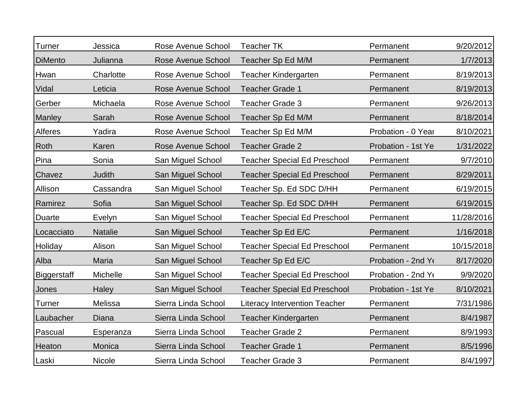| Turner             | Jessica        | Rose Avenue School  | <b>Teacher TK</b>                    | Permanent          | 9/20/2012  |
|--------------------|----------------|---------------------|--------------------------------------|--------------------|------------|
| <b>DiMento</b>     | Julianna       | Rose Avenue School  | Teacher Sp Ed M/M                    | Permanent          | 1/7/2013   |
| Hwan               | Charlotte      | Rose Avenue School  | <b>Teacher Kindergarten</b>          | Permanent          | 8/19/2013  |
| Vidal              | Leticia        | Rose Avenue School  | <b>Teacher Grade 1</b>               | Permanent          | 8/19/2013  |
| Gerber             | Michaela       | Rose Avenue School  | Teacher Grade 3                      | Permanent          | 9/26/2013  |
| Manley             | Sarah          | Rose Avenue School  | Teacher Sp Ed M/M                    | Permanent          | 8/18/2014  |
| Alferes            | Yadira         | Rose Avenue School  | Teacher Sp Ed M/M                    | Probation - 0 Year | 8/10/2021  |
| Roth               | Karen          | Rose Avenue School  | <b>Teacher Grade 2</b>               | Probation - 1st Ye | 1/31/2022  |
| Pina               | Sonia          | San Miguel School   | <b>Teacher Special Ed Preschool</b>  | Permanent          | 9/7/2010   |
| Chavez             | <b>Judith</b>  | San Miguel School   | <b>Teacher Special Ed Preschool</b>  | Permanent          | 8/29/2011  |
| Allison            | Cassandra      | San Miguel School   | Teacher Sp. Ed SDC D/HH              | Permanent          | 6/19/2015  |
| Ramirez            | Sofia          | San Miguel School   | Teacher Sp. Ed SDC D/HH              | Permanent          | 6/19/2015  |
| Duarte             | Evelyn         | San Miguel School   | <b>Teacher Special Ed Preschool</b>  | Permanent          | 11/28/2016 |
| Locacciato         | <b>Natalie</b> | San Miguel School   | Teacher Sp Ed E/C                    | Permanent          | 1/16/2018  |
| Holiday            | Alison         | San Miguel School   | <b>Teacher Special Ed Preschool</b>  | Permanent          | 10/15/2018 |
| Alba               | <b>Maria</b>   | San Miguel School   | Teacher Sp Ed E/C                    | Probation - 2nd Y  | 8/17/2020  |
| <b>Biggerstaff</b> | Michelle       | San Miguel School   | <b>Teacher Special Ed Preschool</b>  | Probation - 2nd Yo | 9/9/2020   |
| Jones              | <b>Haley</b>   | San Miguel School   | <b>Teacher Special Ed Preschool</b>  | Probation - 1st Ye | 8/10/2021  |
| Turner             | Melissa        | Sierra Linda School | <b>Literacy Intervention Teacher</b> | Permanent          | 7/31/1986  |
| Laubacher          | Diana          | Sierra Linda School | <b>Teacher Kindergarten</b>          | Permanent          | 8/4/1987   |
| Pascual            | Esperanza      | Sierra Linda School | <b>Teacher Grade 2</b>               | Permanent          | 8/9/1993   |
| Heaton             | Monica         | Sierra Linda School | <b>Teacher Grade 1</b>               | Permanent          | 8/5/1996   |
| Laski              | Nicole         | Sierra Linda School | <b>Teacher Grade 3</b>               | Permanent          | 8/4/1997   |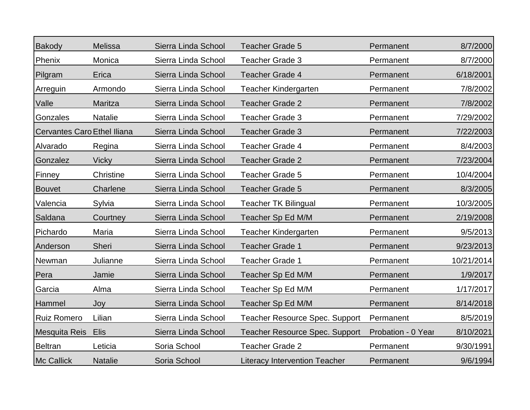| <b>Bakody</b>                      | Melissa        | Sierra Linda School | <b>Teacher Grade 5</b>                | Permanent          | 8/7/2000   |
|------------------------------------|----------------|---------------------|---------------------------------------|--------------------|------------|
| Phenix                             | Monica         | Sierra Linda School | <b>Teacher Grade 3</b>                | Permanent          | 8/7/2000   |
| Pilgram                            | Erica          | Sierra Linda School | <b>Teacher Grade 4</b>                | Permanent          | 6/18/2001  |
| Arreguin                           | Armondo        | Sierra Linda School | <b>Teacher Kindergarten</b>           | Permanent          | 7/8/2002   |
| Valle                              | Maritza        | Sierra Linda School | <b>Teacher Grade 2</b>                | Permanent          | 7/8/2002   |
| Gonzales                           | <b>Natalie</b> | Sierra Linda School | <b>Teacher Grade 3</b>                | Permanent          | 7/29/2002  |
| <b>Cervantes Caro Ethel Iliana</b> |                | Sierra Linda School | <b>Teacher Grade 3</b>                | Permanent          | 7/22/2003  |
| Alvarado                           | Regina         | Sierra Linda School | <b>Teacher Grade 4</b>                | Permanent          | 8/4/2003   |
| Gonzalez                           | <b>Vicky</b>   | Sierra Linda School | <b>Teacher Grade 2</b>                | Permanent          | 7/23/2004  |
| Finney                             | Christine      | Sierra Linda School | <b>Teacher Grade 5</b>                | Permanent          | 10/4/2004  |
| <b>Bouvet</b>                      | Charlene       | Sierra Linda School | <b>Teacher Grade 5</b>                | Permanent          | 8/3/2005   |
| Valencia                           | Sylvia         | Sierra Linda School | <b>Teacher TK Bilingual</b>           | Permanent          | 10/3/2005  |
| Saldana                            | Courtney       | Sierra Linda School | Teacher Sp Ed M/M                     | Permanent          | 2/19/2008  |
| Pichardo                           | Maria          | Sierra Linda School | <b>Teacher Kindergarten</b>           | Permanent          | 9/5/2013   |
| Anderson                           | <b>Sheri</b>   | Sierra Linda School | <b>Teacher Grade 1</b>                | Permanent          | 9/23/2013  |
| Newman                             | Julianne       | Sierra Linda School | <b>Teacher Grade 1</b>                | Permanent          | 10/21/2014 |
| Pera                               | Jamie          | Sierra Linda School | Teacher Sp Ed M/M                     | Permanent          | 1/9/2017   |
| Garcia                             | Alma           | Sierra Linda School | Teacher Sp Ed M/M                     | Permanent          | 1/17/2017  |
| Hammel                             | Joy            | Sierra Linda School | Teacher Sp Ed M/M                     | Permanent          | 8/14/2018  |
| <b>Ruiz Romero</b>                 | Lilian         | Sierra Linda School | <b>Teacher Resource Spec. Support</b> | Permanent          | 8/5/2019   |
| Mesquita Reis                      | <b>Elis</b>    | Sierra Linda School | <b>Teacher Resource Spec. Support</b> | Probation - 0 Year | 8/10/2021  |
| <b>Beltran</b>                     | Leticia        | Soria School        | <b>Teacher Grade 2</b>                | Permanent          | 9/30/1991  |
| <b>Mc Callick</b>                  | <b>Natalie</b> | Soria School        | <b>Literacy Intervention Teacher</b>  | Permanent          | 9/6/1994   |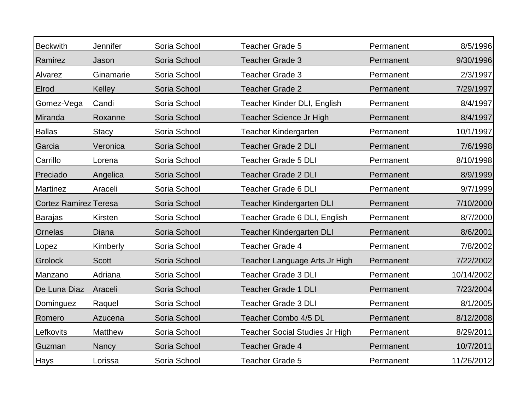| <b>Beckwith</b>              | Jennifer       | Soria School | <b>Teacher Grade 5</b>                | Permanent | 8/5/1996   |
|------------------------------|----------------|--------------|---------------------------------------|-----------|------------|
| Ramirez                      | Jason          | Soria School | <b>Teacher Grade 3</b>                | Permanent | 9/30/1996  |
| Alvarez                      | Ginamarie      | Soria School | Teacher Grade 3                       | Permanent | 2/3/1997   |
| Elrod                        | Kelley         | Soria School | <b>Teacher Grade 2</b>                | Permanent | 7/29/1997  |
| Gomez-Vega                   | Candi          | Soria School | Teacher Kinder DLI, English           | Permanent | 8/4/1997   |
| Miranda                      | Roxanne        | Soria School | Teacher Science Jr High               | Permanent | 8/4/1997   |
| <b>Ballas</b>                | <b>Stacy</b>   | Soria School | <b>Teacher Kindergarten</b>           | Permanent | 10/1/1997  |
| Garcia                       | Veronica       | Soria School | <b>Teacher Grade 2 DLI</b>            | Permanent | 7/6/1998   |
| Carrillo                     | Lorena         | Soria School | <b>Teacher Grade 5 DLI</b>            | Permanent | 8/10/1998  |
| Preciado                     | Angelica       | Soria School | <b>Teacher Grade 2 DLI</b>            | Permanent | 8/9/1999   |
| Martinez                     | Araceli        | Soria School | <b>Teacher Grade 6 DLI</b>            | Permanent | 9/7/1999   |
| <b>Cortez Ramirez Teresa</b> |                | Soria School | <b>Teacher Kindergarten DLI</b>       | Permanent | 7/10/2000  |
| <b>Barajas</b>               | Kirsten        | Soria School | Teacher Grade 6 DLI, English          | Permanent | 8/7/2000   |
| Ornelas                      | Diana          | Soria School | Teacher Kindergarten DLI              | Permanent | 8/6/2001   |
| Lopez                        | Kimberly       | Soria School | Teacher Grade 4                       | Permanent | 7/8/2002   |
| Grolock                      | <b>Scott</b>   | Soria School | Teacher Language Arts Jr High         | Permanent | 7/22/2002  |
| Manzano                      | Adriana        | Soria School | <b>Teacher Grade 3 DLI</b>            | Permanent | 10/14/2002 |
| De Luna Diaz                 | Araceli        | Soria School | <b>Teacher Grade 1 DLI</b>            | Permanent | 7/23/2004  |
| Dominguez                    | Raquel         | Soria School | <b>Teacher Grade 3 DLI</b>            | Permanent | 8/1/2005   |
| Romero                       | Azucena        | Soria School | Teacher Combo 4/5 DL                  | Permanent | 8/12/2008  |
| Lefkovits                    | <b>Matthew</b> | Soria School | <b>Teacher Social Studies Jr High</b> | Permanent | 8/29/2011  |
| Guzman                       | Nancy          | Soria School | <b>Teacher Grade 4</b>                | Permanent | 10/7/2011  |
| Hays                         | Lorissa        | Soria School | <b>Teacher Grade 5</b>                | Permanent | 11/26/2012 |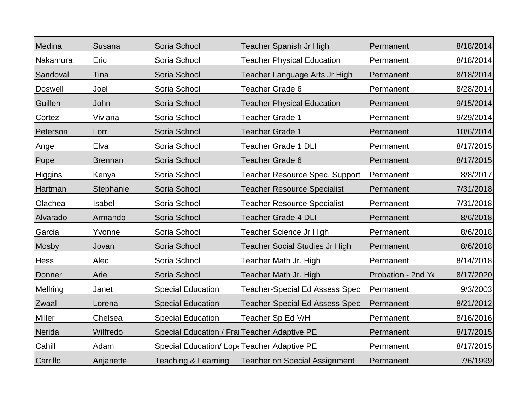| Medina         | Susana         | Soria School             | Teacher Spanish Jr High                      | Permanent          | 8/18/2014 |
|----------------|----------------|--------------------------|----------------------------------------------|--------------------|-----------|
| Nakamura       | Eric           | Soria School             | <b>Teacher Physical Education</b>            | Permanent          | 8/18/2014 |
| Sandoval       | Tina           | Soria School             | Teacher Language Arts Jr High                | Permanent          | 8/18/2014 |
| <b>Doswell</b> | Joel           | Soria School             | <b>Teacher Grade 6</b>                       | Permanent          | 8/28/2014 |
| Guillen        | John           | Soria School             | <b>Teacher Physical Education</b>            | Permanent          | 9/15/2014 |
| Cortez         | Viviana        | Soria School             | <b>Teacher Grade 1</b>                       | Permanent          | 9/29/2014 |
| Peterson       | Lorri          | Soria School             | <b>Teacher Grade 1</b>                       | Permanent          | 10/6/2014 |
| Angel          | Elva           | Soria School             | <b>Teacher Grade 1 DLI</b>                   | Permanent          | 8/17/2015 |
| Pope           | <b>Brennan</b> | Soria School             | <b>Teacher Grade 6</b>                       | Permanent          | 8/17/2015 |
| <b>Higgins</b> | Kenya          | Soria School             | <b>Teacher Resource Spec. Support</b>        | Permanent          | 8/8/2017  |
| Hartman        | Stephanie      | Soria School             | <b>Teacher Resource Specialist</b>           | Permanent          | 7/31/2018 |
| Olachea        | Isabel         | Soria School             | <b>Teacher Resource Specialist</b>           | Permanent          | 7/31/2018 |
| Alvarado       | Armando        | Soria School             | <b>Teacher Grade 4 DLI</b>                   | Permanent          | 8/6/2018  |
| Garcia         | Yvonne         | Soria School             | Teacher Science Jr High                      | Permanent          | 8/6/2018  |
| <b>Mosby</b>   | Jovan          | Soria School             | <b>Teacher Social Studies Jr High</b>        | Permanent          | 8/6/2018  |
| <b>Hess</b>    | Alec           | Soria School             | Teacher Math Jr. High                        | Permanent          | 8/14/2018 |
| Donner         | Ariel          | Soria School             | Teacher Math Jr. High                        | Probation - 2nd Yo | 8/17/2020 |
| Mellring       | Janet          | <b>Special Education</b> | <b>Teacher-Special Ed Assess Spec</b>        | Permanent          | 9/3/2003  |
| Zwaal          | Lorena         | <b>Special Education</b> | <b>Teacher-Special Ed Assess Spec</b>        | Permanent          | 8/21/2012 |
| <b>Miller</b>  | Chelsea        | <b>Special Education</b> | Teacher Sp Ed V/H                            | Permanent          | 8/16/2016 |
| Nerida         | Wilfredo       |                          | Special Education / Frai Teacher Adaptive PE | Permanent          | 8/17/2015 |
| Cahill         | Adam           |                          | Special Education/ Lopt Teacher Adaptive PE  | Permanent          | 8/17/2015 |
| Carrillo       | Anjanette      | Teaching & Learning      | <b>Teacher on Special Assignment</b>         | Permanent          | 7/6/1999  |